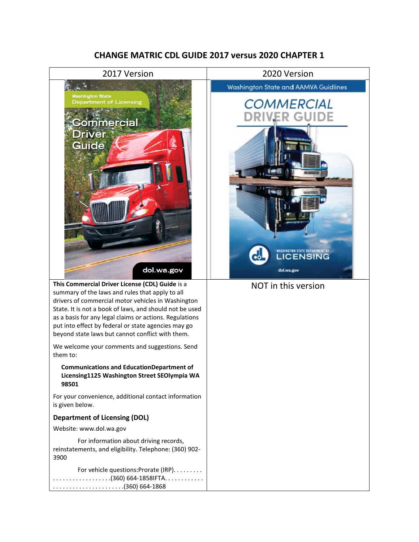#### **CHANGE MATRIC CDL GUIDE 2017 versus 2020 CHAPTER 1**





. . . . . . . . . . . . . . . . . .(360) 664-1858IFTA. . . . . . . . . . . . . . . . . . . . . . . . . . . . . . . . . .(360) 664-1868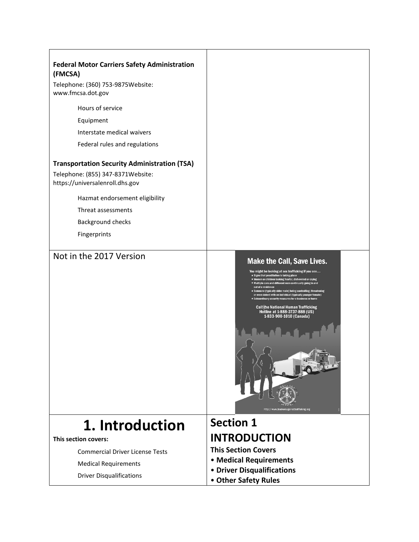| <b>Federal Motor Carriers Safety Administration</b><br>(FMCSA)       |                                                                                                                                                                                                                                                                                                                                                                                                                                                                                                                                                                                                                                         |
|----------------------------------------------------------------------|-----------------------------------------------------------------------------------------------------------------------------------------------------------------------------------------------------------------------------------------------------------------------------------------------------------------------------------------------------------------------------------------------------------------------------------------------------------------------------------------------------------------------------------------------------------------------------------------------------------------------------------------|
| Telephone: (360) 753-9875Website:<br>www.fmcsa.dot.gov               |                                                                                                                                                                                                                                                                                                                                                                                                                                                                                                                                                                                                                                         |
| Hours of service                                                     |                                                                                                                                                                                                                                                                                                                                                                                                                                                                                                                                                                                                                                         |
| Equipment                                                            |                                                                                                                                                                                                                                                                                                                                                                                                                                                                                                                                                                                                                                         |
| Interstate medical waivers                                           |                                                                                                                                                                                                                                                                                                                                                                                                                                                                                                                                                                                                                                         |
| Federal rules and regulations                                        |                                                                                                                                                                                                                                                                                                                                                                                                                                                                                                                                                                                                                                         |
| <b>Transportation Security Administration (TSA)</b>                  |                                                                                                                                                                                                                                                                                                                                                                                                                                                                                                                                                                                                                                         |
| Telephone: (855) 347-8371Website:<br>https://universalenroll.dhs.gov |                                                                                                                                                                                                                                                                                                                                                                                                                                                                                                                                                                                                                                         |
| Hazmat endorsement eligibility                                       |                                                                                                                                                                                                                                                                                                                                                                                                                                                                                                                                                                                                                                         |
| Threat assessments                                                   |                                                                                                                                                                                                                                                                                                                                                                                                                                                                                                                                                                                                                                         |
| Background checks                                                    |                                                                                                                                                                                                                                                                                                                                                                                                                                                                                                                                                                                                                                         |
| Fingerprints                                                         |                                                                                                                                                                                                                                                                                                                                                                                                                                                                                                                                                                                                                                         |
| Not in the 2017 Version                                              | <b>Make the Call, Save Lives.</b><br>You might be looking at sex trafficking if you see<br>Signs that prostitution is taking place<br>■ Women or children looking fearful, disheveled or crying<br>" Multiple cars and different men continually going in and<br>out of a residence<br>Someone (typically older male) being controlling, threatening<br>or even violent with an individual (typically younger female)<br>Extraordinary security measures for a business or home<br><b>Call the National Human Trafficking</b><br>Hotline at 1-888-3737-888 (US)<br>1-833-900-1010 (Canada)<br>http://www.truckersagainsttrafficking.org |
| 1. Introduction                                                      | <b>Section 1</b>                                                                                                                                                                                                                                                                                                                                                                                                                                                                                                                                                                                                                        |
| This section covers:                                                 | <b>INTRODUCTION</b>                                                                                                                                                                                                                                                                                                                                                                                                                                                                                                                                                                                                                     |
| <b>Commercial Driver License Tests</b>                               | <b>This Section Covers</b>                                                                                                                                                                                                                                                                                                                                                                                                                                                                                                                                                                                                              |
| <b>Medical Requirements</b>                                          | • Medical Requirements                                                                                                                                                                                                                                                                                                                                                                                                                                                                                                                                                                                                                  |
| <b>Driver Disqualifications</b>                                      | • Driver Disqualifications                                                                                                                                                                                                                                                                                                                                                                                                                                                                                                                                                                                                              |
|                                                                      | • Other Safety Rules                                                                                                                                                                                                                                                                                                                                                                                                                                                                                                                                                                                                                    |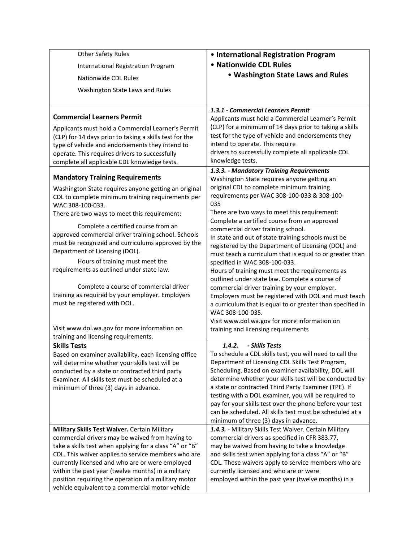| <b>Other Safety Rules</b><br><b>International Registration Program</b><br>Nationwide CDL Rules<br>Washington State Laws and Rules                                                                                                                                                                                                                                                                                                                                                                                                                                                                                           | • International Registration Program<br>• Nationwide CDL Rules<br>• Washington State Laws and Rules                                                                                                                                                                                                                                                                                                                                                                                                                                                                                                                                                                                                                                                                                                                                                                                       |
|-----------------------------------------------------------------------------------------------------------------------------------------------------------------------------------------------------------------------------------------------------------------------------------------------------------------------------------------------------------------------------------------------------------------------------------------------------------------------------------------------------------------------------------------------------------------------------------------------------------------------------|-------------------------------------------------------------------------------------------------------------------------------------------------------------------------------------------------------------------------------------------------------------------------------------------------------------------------------------------------------------------------------------------------------------------------------------------------------------------------------------------------------------------------------------------------------------------------------------------------------------------------------------------------------------------------------------------------------------------------------------------------------------------------------------------------------------------------------------------------------------------------------------------|
| <b>Commercial Learners Permit</b><br>Applicants must hold a Commercial Learner's Permit<br>(CLP) for 14 days prior to taking a skills test for the<br>type of vehicle and endorsements they intend to<br>operate. This requires drivers to successfully<br>complete all applicable CDL knowledge tests.                                                                                                                                                                                                                                                                                                                     | 1.3.1 - Commercial Learners Permit<br>Applicants must hold a Commercial Learner's Permit<br>(CLP) for a minimum of 14 days prior to taking a skills<br>test for the type of vehicle and endorsements they<br>intend to operate. This require<br>drivers to successfully complete all applicable CDL<br>knowledge tests.                                                                                                                                                                                                                                                                                                                                                                                                                                                                                                                                                                   |
| <b>Mandatory Training Requirements</b><br>Washington State requires anyone getting an original<br>CDL to complete minimum training requirements per<br>WAC 308-100-033.<br>There are two ways to meet this requirement:<br>Complete a certified course from an<br>approved commercial driver training school. Schools<br>must be recognized and curriculums approved by the<br>Department of Licensing (DOL).<br>Hours of training must meet the<br>requirements as outlined under state law.<br>Complete a course of commercial driver<br>training as required by your employer. Employers<br>must be registered with DOL. | 1.3.3. - Mandatory Training Requirements<br>Washington State requires anyone getting an<br>original CDL to complete minimum training<br>requirements per WAC 308-100-033 & 308-100-<br>035<br>There are two ways to meet this requirement:<br>Complete a certified course from an approved<br>commercial driver training school.<br>In state and out of state training schools must be<br>registered by the Department of Licensing (DOL) and<br>must teach a curriculum that is equal to or greater than<br>specified in WAC 308-100-033.<br>Hours of training must meet the requirements as<br>outlined under state law. Complete a course of<br>commercial driver training by your employer.<br>Employers must be registered with DOL and must teach<br>a curriculum that is equal to or greater than specified in<br>WAC 308-100-035.<br>Visit www.dol.wa.gov for more information on |
| Visit www.dol.wa.gov for more information on<br>training and licensing requirements.                                                                                                                                                                                                                                                                                                                                                                                                                                                                                                                                        | training and licensing requirements                                                                                                                                                                                                                                                                                                                                                                                                                                                                                                                                                                                                                                                                                                                                                                                                                                                       |
| <b>Skills Tests</b><br>Based on examiner availability, each licensing office<br>will determine whether your skills test will be<br>conducted by a state or contracted third party<br>Examiner. All skills test must be scheduled at a<br>minimum of three (3) days in advance.                                                                                                                                                                                                                                                                                                                                              | - Skills Tests<br>1.4.2.<br>To schedule a CDL skills test, you will need to call the<br>Department of Licensing CDL Skills Test Program,<br>Scheduling. Based on examiner availability, DOL will<br>determine whether your skills test will be conducted by<br>a state or contracted Third Party Examiner (TPE). If<br>testing with a DOL examiner, you will be required to<br>pay for your skills test over the phone before your test<br>can be scheduled. All skills test must be scheduled at a<br>minimum of three (3) days in advance.                                                                                                                                                                                                                                                                                                                                              |
| Military Skills Test Waiver. Certain Military<br>commercial drivers may be waived from having to<br>take a skills test when applying for a class "A" or "B"<br>CDL. This waiver applies to service members who are<br>currently licensed and who are or were employed<br>within the past year (twelve months) in a military<br>position requiring the operation of a military motor<br>vehicle equivalent to a commercial motor vehicle                                                                                                                                                                                     | 1.4.3. - Military Skills Test Waiver. Certain Military<br>commercial drivers as specified in CFR 383.77,<br>may be waived from having to take a knowledge<br>and skills test when applying for a class "A" or "B"<br>CDL. These waivers apply to service members who are<br>currently licensed and who are or were<br>employed within the past year (twelve months) in a                                                                                                                                                                                                                                                                                                                                                                                                                                                                                                                  |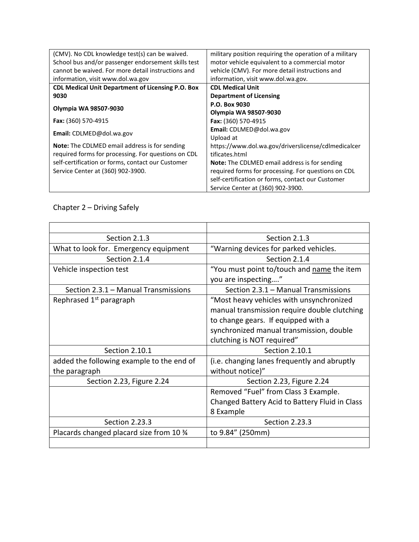| (CMV). No CDL knowledge test(s) can be waived.           | military position requiring the operation of a military |
|----------------------------------------------------------|---------------------------------------------------------|
| School bus and/or passenger endorsement skills test      | motor vehicle equivalent to a commercial motor          |
| cannot be waived. For more detail instructions and       | vehicle (CMV). For more detail instructions and         |
| information, visit www.dol.wa.gov                        | information, visit www.dol.wa.gov.                      |
| <b>CDL Medical Unit Department of Licensing P.O. Box</b> | <b>CDL Medical Unit</b>                                 |
| 9030                                                     | <b>Department of Licensing</b>                          |
| Olympia WA 98507-9030                                    | P.O. Box 9030                                           |
|                                                          | Olympia WA 98507-9030                                   |
| Fax: (360) 570-4915                                      | Fax: (360) 570-4915                                     |
| Email: CDLMED@dol.wa.gov                                 | Email: CDLMED@dol.wa.gov                                |
|                                                          | Upload at                                               |
| <b>Note:</b> The CDLMED email address is for sending     | https://www.dol.wa.gov/driverslicense/cdlmedicalcer     |
| required forms for processing. For questions on CDL      | tificates.html                                          |
| self-certification or forms, contact our Customer        | <b>Note:</b> The CDLMED email address is for sending    |
| Service Center at (360) 902-3900.                        | required forms for processing. For questions on CDL     |
|                                                          | self-certification or forms, contact our Customer       |
|                                                          | Service Center at (360) 902-3900.                       |

#### Chapter 2 – Driving Safely

| Section 2.1.3                             | Section 2.1.3                                  |
|-------------------------------------------|------------------------------------------------|
| What to look for. Emergency equipment     | "Warning devices for parked vehicles.          |
| Section 2.1.4                             | Section 2.1.4                                  |
| Vehicle inspection test                   | "You must point to/touch and name the item     |
|                                           | you are inspecting"                            |
| Section 2.3.1 - Manual Transmissions      | Section 2.3.1 - Manual Transmissions           |
| Rephrased 1 <sup>st</sup> paragraph       | "Most heavy vehicles with unsynchronized       |
|                                           | manual transmission require double clutching   |
|                                           | to change gears. If equipped with a            |
|                                           | synchronized manual transmission, double       |
|                                           | clutching is NOT required"                     |
| Section 2.10.1                            | Section 2.10.1                                 |
| added the following example to the end of | (i.e. changing lanes frequently and abruptly   |
| the paragraph                             | without notice)"                               |
| Section 2.23, Figure 2.24                 | Section 2.23, Figure 2.24                      |
|                                           | Removed "Fuel" from Class 3 Example.           |
|                                           | Changed Battery Acid to Battery Fluid in Class |
|                                           | 8 Example                                      |
| Section 2.23.3                            | Section 2.23.3                                 |
| Placards changed placard size from 10 %   | to 9.84" (250mm)                               |
|                                           |                                                |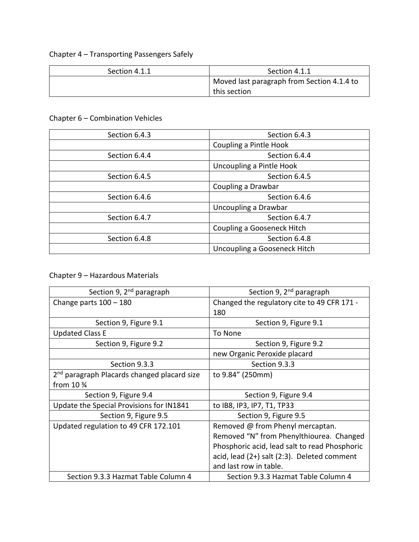## Chapter 4 – Transporting Passengers Safely

| Section 4.1.1 | Section 4.1.1                              |
|---------------|--------------------------------------------|
|               | Moved last paragraph from Section 4.1.4 to |
|               | this section                               |

#### Chapter 6 – Combination Vehicles

| Section 6.4.3 | Section 6.4.3                |
|---------------|------------------------------|
|               | Coupling a Pintle Hook       |
| Section 6.4.4 | Section 6.4.4                |
|               | Uncoupling a Pintle Hook     |
| Section 6.4.5 | Section 6.4.5                |
|               | Coupling a Drawbar           |
| Section 6.4.6 | Section 6.4.6                |
|               | Uncoupling a Drawbar         |
| Section 6.4.7 | Section 6.4.7                |
|               | Coupling a Gooseneck Hitch   |
| Section 6.4.8 | Section 6.4.8                |
|               | Uncoupling a Gooseneck Hitch |

#### Chapter 9 – Hazardous Materials

| Section 9, 2 <sup>nd</sup> paragraph                    | Section 9, 2 <sup>nd</sup> paragraph          |
|---------------------------------------------------------|-----------------------------------------------|
| Change parts $100 - 180$                                | Changed the regulatory cite to 49 CFR 171 -   |
|                                                         | 180                                           |
| Section 9, Figure 9.1                                   | Section 9, Figure 9.1                         |
| <b>Updated Class E</b>                                  | To None                                       |
| Section 9, Figure 9.2                                   | Section 9, Figure 9.2                         |
|                                                         | new Organic Peroxide placard                  |
| Section 9.3.3                                           | Section 9.3.3                                 |
| 2 <sup>nd</sup> paragraph Placards changed placard size | to 9.84" (250mm)                              |
| from $10\frac{3}{4}$                                    |                                               |
| Section 9, Figure 9.4                                   | Section 9, Figure 9.4                         |
| Update the Special Provisions for IN1841                | to IB8, IP3, IP7, T1, TP33                    |
| Section 9, Figure 9.5                                   | Section 9, Figure 9.5                         |
| Updated regulation to 49 CFR 172.101                    | Removed @ from Phenyl mercaptan.              |
|                                                         | Removed "N" from Phenylthiourea. Changed      |
|                                                         | Phosphoric acid, lead salt to read Phosphoric |
|                                                         | acid, lead (2+) salt (2:3). Deleted comment   |
|                                                         | and last row in table.                        |
| Section 9.3.3 Hazmat Table Column 4                     | Section 9.3.3 Hazmat Table Column 4           |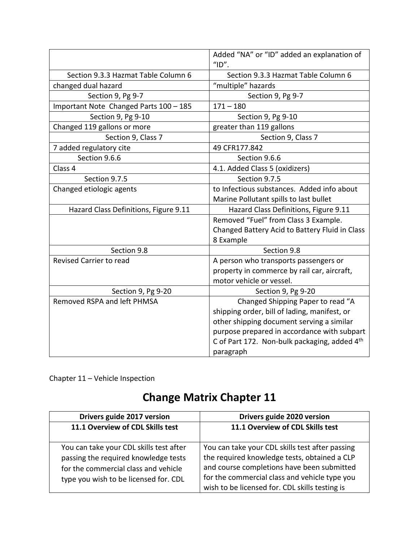|                                        | Added "NA" or "ID" added an explanation of<br>"ID". |
|----------------------------------------|-----------------------------------------------------|
| Section 9.3.3 Hazmat Table Column 6    | Section 9.3.3 Hazmat Table Column 6                 |
| changed dual hazard                    | "multiple" hazards                                  |
| Section 9, Pg 9-7                      | Section 9, Pg 9-7                                   |
| Important Note Changed Parts 100 - 185 | $171 - 180$                                         |
| Section 9, Pg 9-10                     | Section 9, Pg 9-10                                  |
| Changed 119 gallons or more            | greater than 119 gallons                            |
| Section 9, Class 7                     | Section 9, Class 7                                  |
| 7 added regulatory cite                | 49 CFR177.842                                       |
| Section 9.6.6                          | Section 9.6.6                                       |
| Class 4                                | 4.1. Added Class 5 (oxidizers)                      |
| Section 9.7.5                          | Section 9.7.5                                       |
| Changed etiologic agents               | to Infectious substances. Added info about          |
|                                        | Marine Pollutant spills to last bullet              |
| Hazard Class Definitions, Figure 9.11  | Hazard Class Definitions, Figure 9.11               |
|                                        | Removed "Fuel" from Class 3 Example.                |
|                                        | Changed Battery Acid to Battery Fluid in Class      |
|                                        | 8 Example                                           |
| Section 9.8                            | Section 9.8                                         |
| <b>Revised Carrier to read</b>         | A person who transports passengers or               |
|                                        | property in commerce by rail car, aircraft,         |
|                                        | motor vehicle or vessel.                            |
| Section 9, Pg 9-20                     | Section 9, Pg 9-20                                  |
| Removed RSPA and left PHMSA            | Changed Shipping Paper to read "A                   |
|                                        | shipping order, bill of lading, manifest, or        |
|                                        | other shipping document serving a similar           |
|                                        | purpose prepared in accordance with subpart         |
|                                        | C of Part 172. Non-bulk packaging, added 4th        |
|                                        | paragraph                                           |

Chapter 11 – Vehicle Inspection

# **Change Matrix Chapter 11**

| Drivers guide 2017 version                                                                                              | Drivers guide 2020 version                                                                                                                                                                     |
|-------------------------------------------------------------------------------------------------------------------------|------------------------------------------------------------------------------------------------------------------------------------------------------------------------------------------------|
| 11.1 Overview of CDL Skills test                                                                                        | 11.1 Overview of CDL Skills test                                                                                                                                                               |
| You can take your CDL skills test after<br>passing the required knowledge tests<br>for the commercial class and vehicle | You can take your CDL skills test after passing<br>the required knowledge tests, obtained a CLP<br>and course completions have been submitted<br>for the commercial class and vehicle type you |
| type you wish to be licensed for. CDL                                                                                   | wish to be licensed for. CDL skills testing is                                                                                                                                                 |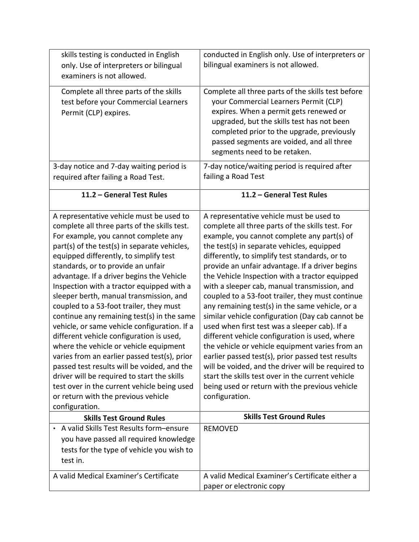| skills testing is conducted in English                                                                                                                                                                                                                                                                                                                                                                                                                                                                                                                                                                                                                                                                                                                                                                                                                                                     | conducted in English only. Use of interpreters or                                                                                                                                                                                                                                                                                                                                                                                                                                                                                                                                                                                                                                                                                                                                                                                                                                                                                                     |
|--------------------------------------------------------------------------------------------------------------------------------------------------------------------------------------------------------------------------------------------------------------------------------------------------------------------------------------------------------------------------------------------------------------------------------------------------------------------------------------------------------------------------------------------------------------------------------------------------------------------------------------------------------------------------------------------------------------------------------------------------------------------------------------------------------------------------------------------------------------------------------------------|-------------------------------------------------------------------------------------------------------------------------------------------------------------------------------------------------------------------------------------------------------------------------------------------------------------------------------------------------------------------------------------------------------------------------------------------------------------------------------------------------------------------------------------------------------------------------------------------------------------------------------------------------------------------------------------------------------------------------------------------------------------------------------------------------------------------------------------------------------------------------------------------------------------------------------------------------------|
| only. Use of interpreters or bilingual                                                                                                                                                                                                                                                                                                                                                                                                                                                                                                                                                                                                                                                                                                                                                                                                                                                     | bilingual examiners is not allowed.                                                                                                                                                                                                                                                                                                                                                                                                                                                                                                                                                                                                                                                                                                                                                                                                                                                                                                                   |
| examiners is not allowed.                                                                                                                                                                                                                                                                                                                                                                                                                                                                                                                                                                                                                                                                                                                                                                                                                                                                  |                                                                                                                                                                                                                                                                                                                                                                                                                                                                                                                                                                                                                                                                                                                                                                                                                                                                                                                                                       |
| Complete all three parts of the skills<br>test before your Commercial Learners<br>Permit (CLP) expires.                                                                                                                                                                                                                                                                                                                                                                                                                                                                                                                                                                                                                                                                                                                                                                                    | Complete all three parts of the skills test before<br>your Commercial Learners Permit (CLP)<br>expires. When a permit gets renewed or<br>upgraded, but the skills test has not been<br>completed prior to the upgrade, previously<br>passed segments are voided, and all three<br>segments need to be retaken.                                                                                                                                                                                                                                                                                                                                                                                                                                                                                                                                                                                                                                        |
| 3-day notice and 7-day waiting period is<br>required after failing a Road Test.                                                                                                                                                                                                                                                                                                                                                                                                                                                                                                                                                                                                                                                                                                                                                                                                            | 7-day notice/waiting period is required after<br>failing a Road Test                                                                                                                                                                                                                                                                                                                                                                                                                                                                                                                                                                                                                                                                                                                                                                                                                                                                                  |
| 11.2 - General Test Rules                                                                                                                                                                                                                                                                                                                                                                                                                                                                                                                                                                                                                                                                                                                                                                                                                                                                  | 11.2 - General Test Rules                                                                                                                                                                                                                                                                                                                                                                                                                                                                                                                                                                                                                                                                                                                                                                                                                                                                                                                             |
| A representative vehicle must be used to<br>complete all three parts of the skills test.<br>For example, you cannot complete any<br>part(s) of the test(s) in separate vehicles,<br>equipped differently, to simplify test<br>standards, or to provide an unfair<br>advantage. If a driver begins the Vehicle<br>Inspection with a tractor equipped with a<br>sleeper berth, manual transmission, and<br>coupled to a 53-foot trailer, they must<br>continue any remaining test(s) in the same<br>vehicle, or same vehicle configuration. If a<br>different vehicle configuration is used,<br>where the vehicle or vehicle equipment<br>varies from an earlier passed test(s), prior<br>passed test results will be voided, and the<br>driver will be required to start the skills<br>test over in the current vehicle being used<br>or return with the previous vehicle<br>configuration. | A representative vehicle must be used to<br>complete all three parts of the skills test. For<br>example, you cannot complete any part(s) of<br>the test(s) in separate vehicles, equipped<br>differently, to simplify test standards, or to<br>provide an unfair advantage. If a driver begins<br>the Vehicle Inspection with a tractor equipped<br>with a sleeper cab, manual transmission, and<br>coupled to a 53-foot trailer, they must continue<br>any remaining test(s) in the same vehicle, or a<br>similar vehicle configuration (Day cab cannot be<br>used when first test was a sleeper cab). If a<br>different vehicle configuration is used, where<br>the vehicle or vehicle equipment varies from an<br>earlier passed test(s), prior passed test results<br>will be voided, and the driver will be required to<br>start the skills test over in the current vehicle<br>being used or return with the previous vehicle<br>configuration. |
| <b>Skills Test Ground Rules</b>                                                                                                                                                                                                                                                                                                                                                                                                                                                                                                                                                                                                                                                                                                                                                                                                                                                            | <b>Skills Test Ground Rules</b>                                                                                                                                                                                                                                                                                                                                                                                                                                                                                                                                                                                                                                                                                                                                                                                                                                                                                                                       |
| • A valid Skills Test Results form-ensure<br>you have passed all required knowledge<br>tests for the type of vehicle you wish to<br>test in.                                                                                                                                                                                                                                                                                                                                                                                                                                                                                                                                                                                                                                                                                                                                               | <b>REMOVED</b>                                                                                                                                                                                                                                                                                                                                                                                                                                                                                                                                                                                                                                                                                                                                                                                                                                                                                                                                        |
| A valid Medical Examiner's Certificate                                                                                                                                                                                                                                                                                                                                                                                                                                                                                                                                                                                                                                                                                                                                                                                                                                                     | A valid Medical Examiner's Certificate either a<br>paper or electronic copy                                                                                                                                                                                                                                                                                                                                                                                                                                                                                                                                                                                                                                                                                                                                                                                                                                                                           |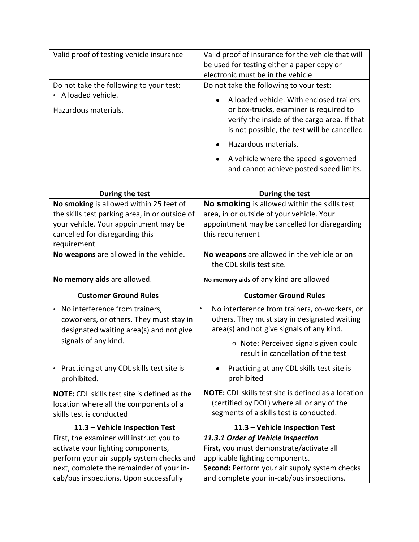| Valid proof of testing vehicle insurance                                                                                  | Valid proof of insurance for the vehicle that will<br>be used for testing either a paper copy or<br>electronic must be in the vehicle               |
|---------------------------------------------------------------------------------------------------------------------------|-----------------------------------------------------------------------------------------------------------------------------------------------------|
| Do not take the following to your test:                                                                                   | Do not take the following to your test:                                                                                                             |
| • A loaded vehicle.                                                                                                       | A loaded vehicle. With enclosed trailers                                                                                                            |
| Hazardous materials.                                                                                                      | or box-trucks, examiner is required to<br>verify the inside of the cargo area. If that<br>is not possible, the test will be cancelled.              |
|                                                                                                                           | Hazardous materials.                                                                                                                                |
|                                                                                                                           | A vehicle where the speed is governed<br>and cannot achieve posted speed limits.                                                                    |
| During the test                                                                                                           | During the test                                                                                                                                     |
| No smoking is allowed within 25 feet of                                                                                   | No smoking is allowed within the skills test                                                                                                        |
| the skills test parking area, in or outside of                                                                            | area, in or outside of your vehicle. Your                                                                                                           |
| your vehicle. Your appointment may be                                                                                     | appointment may be cancelled for disregarding                                                                                                       |
| cancelled for disregarding this                                                                                           | this requirement                                                                                                                                    |
| requirement                                                                                                               |                                                                                                                                                     |
| No weapons are allowed in the vehicle.                                                                                    | No weapons are allowed in the vehicle or on<br>the CDL skills test site.                                                                            |
|                                                                                                                           |                                                                                                                                                     |
| No memory aids are allowed.                                                                                               | No memory aids of any kind are allowed                                                                                                              |
| <b>Customer Ground Rules</b>                                                                                              | <b>Customer Ground Rules</b>                                                                                                                        |
| • No interference from trainers,<br>coworkers, or others. They must stay in<br>designated waiting area(s) and not give    | No interference from trainers, co-workers, or<br>others. They must stay in designated waiting<br>area(s) and not give signals of any kind.          |
| signals of any kind.                                                                                                      | o Note: Perceived signals given could<br>result in cancellation of the test                                                                         |
| Practicing at any CDL skills test site is<br>prohibited.                                                                  | Practicing at any CDL skills test site is<br>prohibited                                                                                             |
| <b>NOTE:</b> CDL skills test site is defined as the<br>location where all the components of a<br>skills test is conducted | <b>NOTE:</b> CDL skills test site is defined as a location<br>(certified by DOL) where all or any of the<br>segments of a skills test is conducted. |
| 11.3 - Vehicle Inspection Test                                                                                            | 11.3 - Vehicle Inspection Test                                                                                                                      |
| First, the examiner will instruct you to                                                                                  | 11.3.1 Order of Vehicle Inspection                                                                                                                  |
| activate your lighting components,                                                                                        | First, you must demonstrate/activate all                                                                                                            |
| perform your air supply system checks and                                                                                 | applicable lighting components.                                                                                                                     |
| next, complete the remainder of your in-<br>cab/bus inspections. Upon successfully                                        | Second: Perform your air supply system checks<br>and complete your in-cab/bus inspections.                                                          |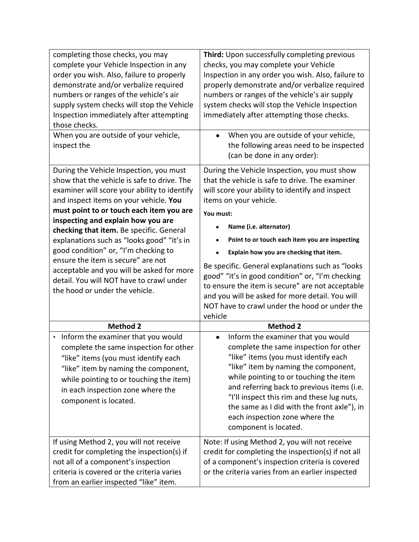| completing those checks, you may<br>complete your Vehicle Inspection in any<br>order you wish. Also, failure to properly<br>demonstrate and/or verbalize required<br>numbers or ranges of the vehicle's air<br>supply system checks will stop the Vehicle<br>Inspection immediately after attempting<br>those checks.<br>When you are outside of your vehicle,                                                                                                                                                                                                        | Third: Upon successfully completing previous<br>checks, you may complete your Vehicle<br>Inspection in any order you wish. Also, failure to<br>properly demonstrate and/or verbalize required<br>numbers or ranges of the vehicle's air supply<br>system checks will stop the Vehicle Inspection<br>immediately after attempting those checks.<br>When you are outside of your vehicle,<br>$\bullet$                                                                                                                                                                                        |
|-----------------------------------------------------------------------------------------------------------------------------------------------------------------------------------------------------------------------------------------------------------------------------------------------------------------------------------------------------------------------------------------------------------------------------------------------------------------------------------------------------------------------------------------------------------------------|---------------------------------------------------------------------------------------------------------------------------------------------------------------------------------------------------------------------------------------------------------------------------------------------------------------------------------------------------------------------------------------------------------------------------------------------------------------------------------------------------------------------------------------------------------------------------------------------|
| inspect the                                                                                                                                                                                                                                                                                                                                                                                                                                                                                                                                                           | the following areas need to be inspected<br>(can be done in any order):                                                                                                                                                                                                                                                                                                                                                                                                                                                                                                                     |
| During the Vehicle Inspection, you must<br>show that the vehicle is safe to drive. The<br>examiner will score your ability to identify<br>and inspect items on your vehicle. You<br>must point to or touch each item you are<br>inspecting and explain how you are<br>checking that item. Be specific. General<br>explanations such as "looks good" "it's in<br>good condition" or, "I'm checking to<br>ensure the item is secure" are not<br>acceptable and you will be asked for more<br>detail. You will NOT have to crawl under<br>the hood or under the vehicle. | During the Vehicle Inspection, you must show<br>that the vehicle is safe to drive. The examiner<br>will score your ability to identify and inspect<br>items on your vehicle.<br>You must:<br>Name (i.e. alternator)<br>Point to or touch each item you are inspecting<br>Explain how you are checking that item.<br>Be specific. General explanations such as "looks<br>good" "it's in good condition" or, "I'm checking<br>to ensure the item is secure" are not acceptable<br>and you will be asked for more detail. You will<br>NOT have to crawl under the hood or under the<br>vehicle |
| <b>Method 2</b>                                                                                                                                                                                                                                                                                                                                                                                                                                                                                                                                                       | <b>Method 2</b>                                                                                                                                                                                                                                                                                                                                                                                                                                                                                                                                                                             |
| • Inform the examiner that you would<br>complete the same inspection for other<br>like" items (you must identify each<br>"like" item by naming the component,<br>while pointing to or touching the item)<br>in each inspection zone where the<br>component is located.                                                                                                                                                                                                                                                                                                | Inform the examiner that you would<br>$\bullet$<br>complete the same inspection for other<br>"like" items (you must identify each<br>"like" item by naming the component,<br>while pointing to or touching the item<br>and referring back to previous items (i.e.<br>"I'll inspect this rim and these lug nuts,<br>the same as I did with the front axle"), in<br>each inspection zone where the<br>component is located.                                                                                                                                                                   |
| If using Method 2, you will not receive<br>credit for completing the inspection(s) if<br>not all of a component's inspection<br>criteria is covered or the criteria varies<br>from an earlier inspected "like" item.                                                                                                                                                                                                                                                                                                                                                  | Note: If using Method 2, you will not receive<br>credit for completing the inspection(s) if not all<br>of a component's inspection criteria is covered<br>or the criteria varies from an earlier inspected                                                                                                                                                                                                                                                                                                                                                                                  |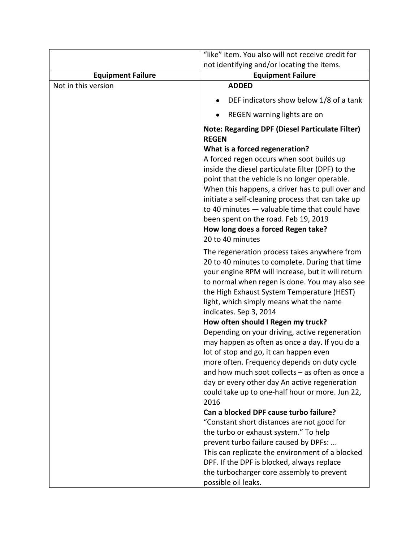|                          | "like" item. You also will not receive credit for<br>not identifying and/or locating the items.                                                                                                                                                                                                                                                                                                                                                                                                                         |
|--------------------------|-------------------------------------------------------------------------------------------------------------------------------------------------------------------------------------------------------------------------------------------------------------------------------------------------------------------------------------------------------------------------------------------------------------------------------------------------------------------------------------------------------------------------|
| <b>Equipment Failure</b> | <b>Equipment Failure</b>                                                                                                                                                                                                                                                                                                                                                                                                                                                                                                |
| Not in this version      | <b>ADDED</b>                                                                                                                                                                                                                                                                                                                                                                                                                                                                                                            |
|                          | DEF indicators show below 1/8 of a tank                                                                                                                                                                                                                                                                                                                                                                                                                                                                                 |
|                          | REGEN warning lights are on                                                                                                                                                                                                                                                                                                                                                                                                                                                                                             |
|                          | <b>Note: Regarding DPF (Diesel Particulate Filter)</b><br><b>REGEN</b><br>What is a forced regeneration?<br>A forced regen occurs when soot builds up<br>inside the diesel particulate filter (DPF) to the<br>point that the vehicle is no longer operable.<br>When this happens, a driver has to pull over and<br>initiate a self-cleaning process that can take up<br>to 40 minutes - valuable time that could have<br>been spent on the road. Feb 19, 2019<br>How long does a forced Regen take?<br>20 to 40 minutes |
|                          | The regeneration process takes anywhere from<br>20 to 40 minutes to complete. During that time<br>your engine RPM will increase, but it will return<br>to normal when regen is done. You may also see<br>the High Exhaust System Temperature (HEST)<br>light, which simply means what the name<br>indicates. Sep 3, 2014                                                                                                                                                                                                |
|                          | How often should I Regen my truck?<br>Depending on your driving, active regeneration<br>may happen as often as once a day. If you do a<br>lot of stop and go, it can happen even<br>more often. Frequency depends on duty cycle<br>and how much soot collects - as often as once a<br>day or every other day An active regeneration<br>could take up to one-half hour or more. Jun 22,<br>2016                                                                                                                          |
|                          | Can a blocked DPF cause turbo failure?<br>"Constant short distances are not good for<br>the turbo or exhaust system." To help<br>prevent turbo failure caused by DPFs:<br>This can replicate the environment of a blocked<br>DPF. If the DPF is blocked, always replace<br>the turbocharger core assembly to prevent<br>possible oil leaks.                                                                                                                                                                             |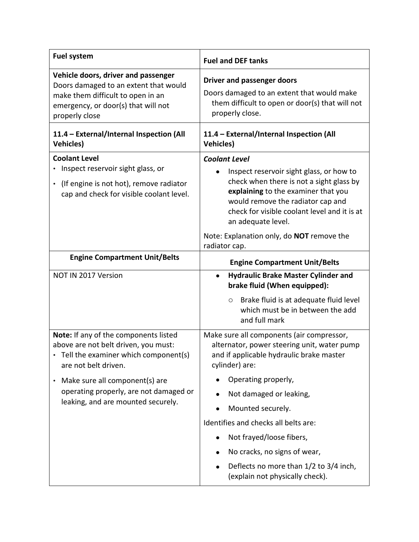| <b>Fuel system</b>                                                                                                                                                         | <b>Fuel and DEF tanks</b>                                                                                                                                                                                                                                      |
|----------------------------------------------------------------------------------------------------------------------------------------------------------------------------|----------------------------------------------------------------------------------------------------------------------------------------------------------------------------------------------------------------------------------------------------------------|
| Vehicle doors, driver and passenger<br>Doors damaged to an extent that would<br>make them difficult to open in an<br>emergency, or door(s) that will not<br>properly close | <b>Driver and passenger doors</b><br>Doors damaged to an extent that would make<br>them difficult to open or door(s) that will not<br>properly close.                                                                                                          |
| 11.4 - External/Internal Inspection (All<br><b>Vehicles)</b>                                                                                                               | 11.4 - External/Internal Inspection (All<br><b>Vehicles)</b>                                                                                                                                                                                                   |
| <b>Coolant Level</b><br>Inspect reservoir sight glass, or<br>(If engine is not hot), remove radiator<br>$\bullet$<br>cap and check for visible coolant level.              | <b>Coolant Level</b><br>Inspect reservoir sight glass, or how to<br>check when there is not a sight glass by<br>explaining to the examiner that you<br>would remove the radiator cap and<br>check for visible coolant level and it is at<br>an adequate level. |
|                                                                                                                                                                            | Note: Explanation only, do NOT remove the<br>radiator cap.                                                                                                                                                                                                     |
| <b>Engine Compartment Unit/Belts</b>                                                                                                                                       | <b>Engine Compartment Unit/Belts</b>                                                                                                                                                                                                                           |
| NOT IN 2017 Version                                                                                                                                                        | <b>Hydraulic Brake Master Cylinder and</b><br>$\bullet$<br>brake fluid (When equipped):                                                                                                                                                                        |
|                                                                                                                                                                            | Brake fluid is at adequate fluid level<br>$\circ$<br>which must be in between the add<br>and full mark                                                                                                                                                         |
| Note: If any of the components listed<br>above are not belt driven, you must:<br>• Tell the examiner which component(s)<br>are not belt driven.                            | Make sure all components (air compressor,<br>alternator, power steering unit, water pump<br>and if applicable hydraulic brake master<br>cylinder) are:                                                                                                         |
| Make sure all component(s) are<br>operating properly, are not damaged or<br>leaking, and are mounted securely.                                                             | Operating properly,                                                                                                                                                                                                                                            |
|                                                                                                                                                                            | Not damaged or leaking,                                                                                                                                                                                                                                        |
|                                                                                                                                                                            | Mounted securely.                                                                                                                                                                                                                                              |
|                                                                                                                                                                            | Identifies and checks all belts are:                                                                                                                                                                                                                           |
|                                                                                                                                                                            | Not frayed/loose fibers,                                                                                                                                                                                                                                       |
|                                                                                                                                                                            | No cracks, no signs of wear,                                                                                                                                                                                                                                   |
|                                                                                                                                                                            | Deflects no more than 1/2 to 3/4 inch,<br>(explain not physically check).                                                                                                                                                                                      |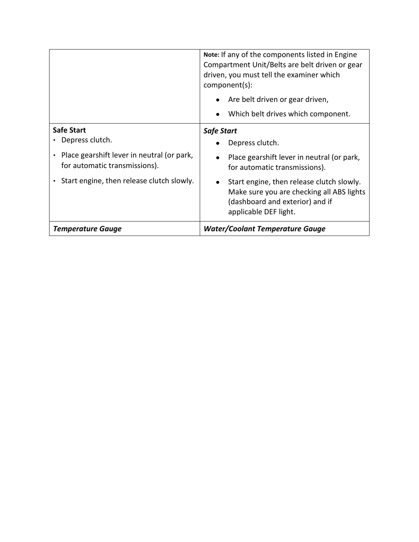|                                                                             | Note: If any of the components listed in Engine<br>Compartment Unit/Belts are belt driven or gear<br>driven, you must tell the examiner which<br>component(s): |
|-----------------------------------------------------------------------------|----------------------------------------------------------------------------------------------------------------------------------------------------------------|
|                                                                             | Are belt driven or gear driven,<br>$\bullet$                                                                                                                   |
|                                                                             | Which belt drives which component.<br>$\bullet$                                                                                                                |
| <b>Safe Start</b>                                                           | <b>Safe Start</b>                                                                                                                                              |
| Depress clutch.                                                             | Depress clutch.                                                                                                                                                |
| Place gearshift lever in neutral (or park,<br>for automatic transmissions). | Place gearshift lever in neutral (or park,<br>for automatic transmissions).                                                                                    |
| Start engine, then release clutch slowly.                                   | Start engine, then release clutch slowly.<br>Make sure you are checking all ABS lights<br>(dashboard and exterior) and if<br>applicable DEF light.             |
| <b>Temperature Gauge</b>                                                    | <b>Water/Coolant Temperature Gauge</b>                                                                                                                         |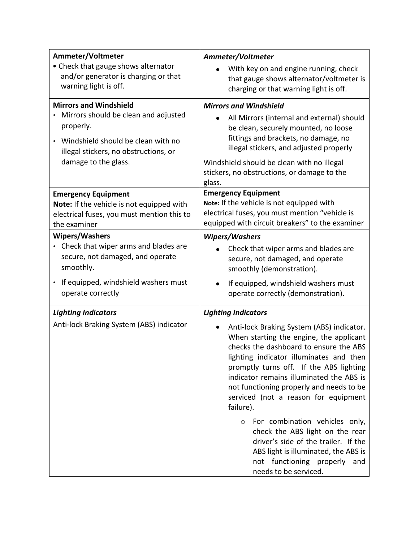| Ammeter/Voltmeter<br>• Check that gauge shows alternator<br>and/or generator is charging or that                                                                                          | Ammeter/Voltmeter<br>With key on and engine running, check<br>that gauge shows alternator/voltmeter is                                                                                                                                                                                                                                                                                                                                                                                                                                                                                                                   |
|-------------------------------------------------------------------------------------------------------------------------------------------------------------------------------------------|--------------------------------------------------------------------------------------------------------------------------------------------------------------------------------------------------------------------------------------------------------------------------------------------------------------------------------------------------------------------------------------------------------------------------------------------------------------------------------------------------------------------------------------------------------------------------------------------------------------------------|
| warning light is off.                                                                                                                                                                     | charging or that warning light is off.                                                                                                                                                                                                                                                                                                                                                                                                                                                                                                                                                                                   |
| <b>Mirrors and Windshield</b><br>Mirrors should be clean and adjusted<br>properly.<br>Windshield should be clean with no<br>illegal stickers, no obstructions, or<br>damage to the glass. | <b>Mirrors and Windshield</b><br>All Mirrors (internal and external) should<br>$\bullet$<br>be clean, securely mounted, no loose<br>fittings and brackets, no damage, no<br>illegal stickers, and adjusted properly<br>Windshield should be clean with no illegal<br>stickers, no obstructions, or damage to the<br>glass.                                                                                                                                                                                                                                                                                               |
| <b>Emergency Equipment</b><br>Note: If the vehicle is not equipped with<br>electrical fuses, you must mention this to<br>the examiner                                                     | <b>Emergency Equipment</b><br>Note: If the vehicle is not equipped with<br>electrical fuses, you must mention "vehicle is<br>equipped with circuit breakers" to the examiner                                                                                                                                                                                                                                                                                                                                                                                                                                             |
| <b>Wipers/Washers</b><br>Check that wiper arms and blades are<br>secure, not damaged, and operate<br>smoothly.<br>If equipped, windshield washers must                                    | <b>Wipers/Washers</b><br>Check that wiper arms and blades are<br>secure, not damaged, and operate<br>smoothly (demonstration).<br>If equipped, windshield washers must                                                                                                                                                                                                                                                                                                                                                                                                                                                   |
| operate correctly                                                                                                                                                                         | operate correctly (demonstration).                                                                                                                                                                                                                                                                                                                                                                                                                                                                                                                                                                                       |
| <b>Lighting Indicators</b><br>Anti-lock Braking System (ABS) indicator                                                                                                                    | <b>Lighting Indicators</b><br>Anti-lock Braking System (ABS) indicator.<br>When starting the engine, the applicant<br>checks the dashboard to ensure the ABS<br>lighting indicator illuminates and then<br>promptly turns off. If the ABS lighting<br>indicator remains illuminated the ABS is<br>not functioning properly and needs to be<br>serviced (not a reason for equipment<br>failure).<br>For combination vehicles only,<br>$\circ$<br>check the ABS light on the rear<br>driver's side of the trailer. If the<br>ABS light is illuminated, the ABS is<br>not functioning properly and<br>needs to be serviced. |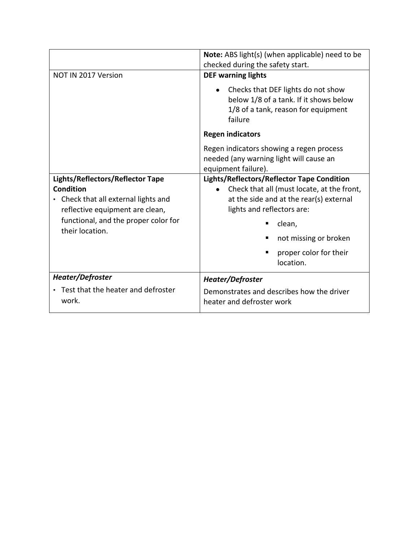|                                                                                                                                 | Note: ABS light(s) (when applicable) need to be<br>checked during the safety start.                                                                               |
|---------------------------------------------------------------------------------------------------------------------------------|-------------------------------------------------------------------------------------------------------------------------------------------------------------------|
| NOT IN 2017 Version                                                                                                             | <b>DEF warning lights</b>                                                                                                                                         |
|                                                                                                                                 | Checks that DEF lights do not show<br>$\bullet$<br>below 1/8 of a tank. If it shows below<br>1/8 of a tank, reason for equipment<br>failure                       |
|                                                                                                                                 | <b>Regen indicators</b>                                                                                                                                           |
|                                                                                                                                 | Regen indicators showing a regen process<br>needed (any warning light will cause an<br>equipment failure).                                                        |
| Lights/Reflectors/Reflector Tape<br><b>Condition</b><br>• Check that all external lights and<br>reflective equipment are clean, | Lights/Reflectors/Reflector Tape Condition<br>Check that all (must locate, at the front,<br>at the side and at the rear(s) external<br>lights and reflectors are: |
| functional, and the proper color for<br>their location.                                                                         | clean,                                                                                                                                                            |
|                                                                                                                                 | not missing or broken                                                                                                                                             |
|                                                                                                                                 | proper color for their<br>location.                                                                                                                               |
| Heater/Defroster                                                                                                                | Heater/Defroster                                                                                                                                                  |
| • Test that the heater and defroster<br>work.                                                                                   | Demonstrates and describes how the driver<br>heater and defroster work                                                                                            |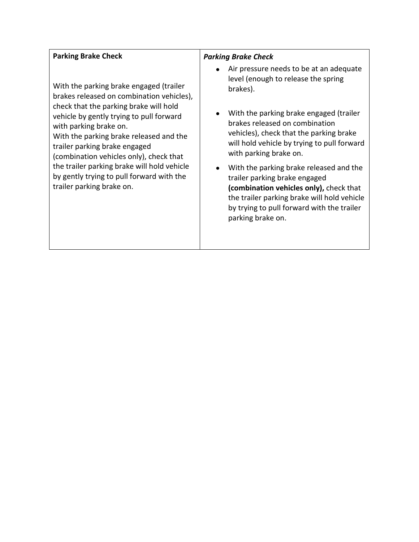| <b>Parking Brake Check</b>                                                                                                                                                                                                                                                                                                                                                                                                                           | <b>Parking Brake Check</b>                                                                                                                                                                                                                                                                                                                                                                                                                                                                                                           |
|------------------------------------------------------------------------------------------------------------------------------------------------------------------------------------------------------------------------------------------------------------------------------------------------------------------------------------------------------------------------------------------------------------------------------------------------------|--------------------------------------------------------------------------------------------------------------------------------------------------------------------------------------------------------------------------------------------------------------------------------------------------------------------------------------------------------------------------------------------------------------------------------------------------------------------------------------------------------------------------------------|
| With the parking brake engaged (trailer<br>brakes released on combination vehicles),<br>check that the parking brake will hold<br>vehicle by gently trying to pull forward<br>with parking brake on.<br>With the parking brake released and the<br>trailer parking brake engaged<br>(combination vehicles only), check that<br>the trailer parking brake will hold vehicle<br>by gently trying to pull forward with the<br>trailer parking brake on. | Air pressure needs to be at an adequate<br>level (enough to release the spring<br>brakes).<br>With the parking brake engaged (trailer<br>brakes released on combination<br>vehicles), check that the parking brake<br>will hold vehicle by trying to pull forward<br>with parking brake on.<br>With the parking brake released and the<br>trailer parking brake engaged<br>(combination vehicles only), check that<br>the trailer parking brake will hold vehicle<br>by trying to pull forward with the trailer<br>parking brake on. |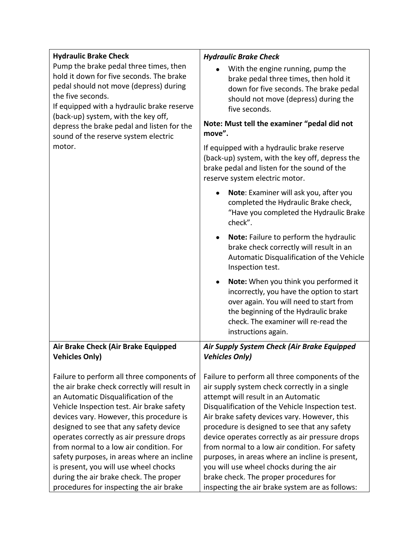| <b>Hydraulic Brake Check</b>                                                                                                                                                                                                                                                                                                           | <b>Hydraulic Brake Check</b>                                                                                                                                                                                                                                                                                                            |
|----------------------------------------------------------------------------------------------------------------------------------------------------------------------------------------------------------------------------------------------------------------------------------------------------------------------------------------|-----------------------------------------------------------------------------------------------------------------------------------------------------------------------------------------------------------------------------------------------------------------------------------------------------------------------------------------|
| Pump the brake pedal three times, then<br>hold it down for five seconds. The brake<br>pedal should not move (depress) during<br>the five seconds.<br>If equipped with a hydraulic brake reserve<br>(back-up) system, with the key off,<br>depress the brake pedal and listen for the<br>sound of the reserve system electric<br>motor. | With the engine running, pump the<br>brake pedal three times, then hold it<br>down for five seconds. The brake pedal<br>should not move (depress) during the<br>five seconds.<br>Note: Must tell the examiner "pedal did not<br>move".<br>If equipped with a hydraulic brake reserve<br>(back-up) system, with the key off, depress the |
|                                                                                                                                                                                                                                                                                                                                        | brake pedal and listen for the sound of the<br>reserve system electric motor.                                                                                                                                                                                                                                                           |
|                                                                                                                                                                                                                                                                                                                                        | Note: Examiner will ask you, after you<br>completed the Hydraulic Brake check,<br>"Have you completed the Hydraulic Brake<br>check".                                                                                                                                                                                                    |
|                                                                                                                                                                                                                                                                                                                                        | Note: Failure to perform the hydraulic<br>brake check correctly will result in an<br>Automatic Disqualification of the Vehicle<br>Inspection test.                                                                                                                                                                                      |
|                                                                                                                                                                                                                                                                                                                                        | Note: When you think you performed it<br>$\bullet$<br>incorrectly, you have the option to start<br>over again. You will need to start from<br>the beginning of the Hydraulic brake<br>check. The examiner will re-read the<br>instructions again.                                                                                       |
| Air Brake Check (Air Brake Equipped                                                                                                                                                                                                                                                                                                    | Air Supply System Check (Air Brake Equipped                                                                                                                                                                                                                                                                                             |
| <b>Vehicles Only)</b>                                                                                                                                                                                                                                                                                                                  | <b>Vehicles Only)</b>                                                                                                                                                                                                                                                                                                                   |
| Failure to perform all three components of<br>the air brake check correctly will result in<br>an Automatic Disqualification of the<br>Vehicle Inspection test. Air brake safety<br>devices vary. However, this procedure is                                                                                                            | Failure to perform all three components of the<br>air supply system check correctly in a single<br>attempt will result in an Automatic<br>Disqualification of the Vehicle Inspection test.<br>Air brake safety devices vary. However, this                                                                                              |
| designed to see that any safety device                                                                                                                                                                                                                                                                                                 | procedure is designed to see that any safety                                                                                                                                                                                                                                                                                            |
| operates correctly as air pressure drops<br>from normal to a low air condition. For                                                                                                                                                                                                                                                    | device operates correctly as air pressure drops<br>from normal to a low air condition. For safety                                                                                                                                                                                                                                       |
| safety purposes, in areas where an incline                                                                                                                                                                                                                                                                                             | purposes, in areas where an incline is present,                                                                                                                                                                                                                                                                                         |
| is present, you will use wheel chocks                                                                                                                                                                                                                                                                                                  | you will use wheel chocks during the air                                                                                                                                                                                                                                                                                                |
| during the air brake check. The proper                                                                                                                                                                                                                                                                                                 | brake check. The proper procedures for                                                                                                                                                                                                                                                                                                  |
| procedures for inspecting the air brake                                                                                                                                                                                                                                                                                                | inspecting the air brake system are as follows:                                                                                                                                                                                                                                                                                         |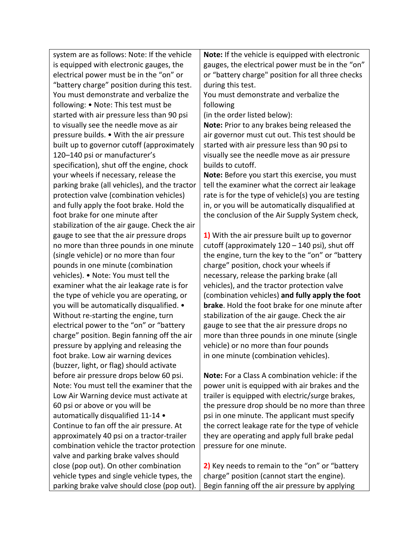system are as follows: Note: If the vehicle is equipped with electronic gauges, the electrical power must be in the "on" or "battery charge" position during this test. You must demonstrate and verbalize the following: • Note: This test must be started with air pressure less than 90 psi to visually see the needle move as air pressure builds. • With the air pressure built up to governor cutoff (approximately 120–140 psi or manufacturer's specification), shut off the engine, chock your wheels if necessary, release the parking brake (all vehicles), and the tractor protection valve (combination vehicles) and fully apply the foot brake. Hold the foot brake for one minute after stabilization of the air gauge. Check the air gauge to see that the air pressure drops no more than three pounds in one minute (single vehicle) or no more than four pounds in one minute (combination vehicles). • Note: You must tell the examiner what the air leakage rate is for the type of vehicle you are operating, or you will be automatically disqualified. • Without re-starting the engine, turn electrical power to the "on" or "battery charge" position. Begin fanning off the air pressure by applying and releasing the foot brake. Low air warning devices (buzzer, light, or flag) should activate before air pressure drops below 60 psi. Note: You must tell the examiner that the Low Air Warning device must activate at 60 psi or above or you will be automatically disqualified 11-14 • Continue to fan off the air pressure. At approximately 40 psi on a tractor-trailer combination vehicle the tractor protection valve and parking brake valves should close (pop out). On other combination vehicle types and single vehicle types, the parking brake valve should close (pop out).

**Note:** If the vehicle is equipped with electronic gauges, the electrical power must be in the "on" or "battery charge" position for all three checks during this test.

You must demonstrate and verbalize the following

(in the order listed below):

**Note:** Prior to any brakes being released the air governor must cut out. This test should be started with air pressure less than 90 psi to visually see the needle move as air pressure builds to cutoff.

**Note:** Before you start this exercise, you must tell the examiner what the correct air leakage rate is for the type of vehicle(s) you are testing in, or you will be automatically disqualified at the conclusion of the Air Supply System check,

**1)** With the air pressure built up to governor cutoff (approximately 120 – 140 psi), shut off the engine, turn the key to the "on" or "battery charge" position, chock your wheels if necessary, release the parking brake (all vehicles), and the tractor protection valve (combination vehicles) **and fully apply the foot brake**. Hold the foot brake for one minute after stabilization of the air gauge. Check the air gauge to see that the air pressure drops no more than three pounds in one minute (single vehicle) or no more than four pounds in one minute (combination vehicles).

**Note:** For a Class A combination vehicle: if the power unit is equipped with air brakes and the trailer is equipped with electric/surge brakes, the pressure drop should be no more than three psi in one minute. The applicant must specify the correct leakage rate for the type of vehicle they are operating and apply full brake pedal pressure for one minute.

**2)** Key needs to remain to the "on" or "battery charge" position (cannot start the engine). Begin fanning off the air pressure by applying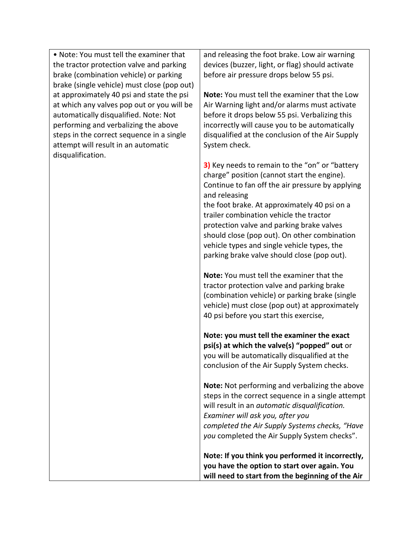• Note: You must tell the examiner that the tractor protection valve and parking brake (combination vehicle) or parking brake (single vehicle) must close (pop out) at approximately 40 psi and state the psi at which any valves pop out or you will be automatically disqualified. Note: Not performing and verbalizing the above steps in the correct sequence in a single attempt will result in an automatic disqualification.

and releasing the foot brake. Low air warning devices (buzzer, light, or flag) should activate before air pressure drops below 55 psi.

**Note:** You must tell the examiner that the Low Air Warning light and/or alarms must activate before it drops below 55 psi. Verbalizing this incorrectly will cause you to be automatically disqualified at the conclusion of the Air Supply System check.

**3)** Key needs to remain to the "on" or "battery charge" position (cannot start the engine). Continue to fan off the air pressure by applying and releasing the foot brake. At approximately 40 psi on a trailer combination vehicle the tractor protection valve and parking brake valves

should close (pop out). On other combination vehicle types and single vehicle types, the parking brake valve should close (pop out).

**Note:** You must tell the examiner that the tractor protection valve and parking brake (combination vehicle) or parking brake (single vehicle) must close (pop out) at approximately 40 psi before you start this exercise,

**Note: you must tell the examiner the exact psi(s) at which the valve(s) "popped" out** or you will be automatically disqualified at the conclusion of the Air Supply System checks.

**Note:** Not performing and verbalizing the above steps in the correct sequence in a single attempt will result in an *automatic disqualification. Examiner will ask you, after you completed the Air Supply Systems checks, "Have you* completed the Air Supply System checks".

**Note: If you think you performed it incorrectly, you have the option to start over again. You will need to start from the beginning of the Air**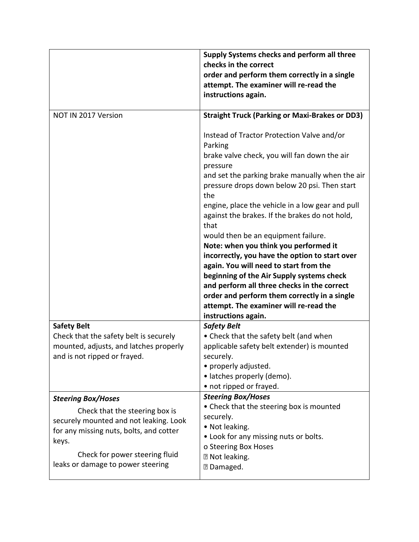|                                                                                                                                                                                                                                  | Supply Systems checks and perform all three<br>checks in the correct<br>order and perform them correctly in a single<br>attempt. The examiner will re-read the<br>instructions again.                                                                                                                                                                                                                                                                                                                                                                                                                                                                                                                       |
|----------------------------------------------------------------------------------------------------------------------------------------------------------------------------------------------------------------------------------|-------------------------------------------------------------------------------------------------------------------------------------------------------------------------------------------------------------------------------------------------------------------------------------------------------------------------------------------------------------------------------------------------------------------------------------------------------------------------------------------------------------------------------------------------------------------------------------------------------------------------------------------------------------------------------------------------------------|
| NOT IN 2017 Version                                                                                                                                                                                                              | <b>Straight Truck (Parking or Maxi-Brakes or DD3)</b>                                                                                                                                                                                                                                                                                                                                                                                                                                                                                                                                                                                                                                                       |
|                                                                                                                                                                                                                                  | Instead of Tractor Protection Valve and/or<br>Parking<br>brake valve check, you will fan down the air<br>pressure<br>and set the parking brake manually when the air<br>pressure drops down below 20 psi. Then start<br>the<br>engine, place the vehicle in a low gear and pull<br>against the brakes. If the brakes do not hold,<br>that<br>would then be an equipment failure.<br>Note: when you think you performed it<br>incorrectly, you have the option to start over<br>again. You will need to start from the<br>beginning of the Air Supply systems check<br>and perform all three checks in the correct<br>order and perform them correctly in a single<br>attempt. The examiner will re-read the |
|                                                                                                                                                                                                                                  | instructions again.                                                                                                                                                                                                                                                                                                                                                                                                                                                                                                                                                                                                                                                                                         |
| <b>Safety Belt</b><br>Check that the safety belt is securely<br>mounted, adjusts, and latches properly<br>and is not ripped or frayed.                                                                                           | <b>Safety Belt</b><br>• Check that the safety belt (and when<br>applicable safety belt extender) is mounted<br>securely.<br>• properly adjusted.<br>• latches properly (demo).<br>• not ripped or frayed.                                                                                                                                                                                                                                                                                                                                                                                                                                                                                                   |
| <b>Steering Box/Hoses</b><br>Check that the steering box is<br>securely mounted and not leaking. Look<br>for any missing nuts, bolts, and cotter<br>keys.<br>Check for power steering fluid<br>leaks or damage to power steering | <b>Steering Box/Hoses</b><br>• Check that the steering box is mounted<br>securely.<br>· Not leaking.<br>• Look for any missing nuts or bolts.<br>o Steering Box Hoses<br><b>2 Not leaking.</b><br><b>7</b> Damaged.                                                                                                                                                                                                                                                                                                                                                                                                                                                                                         |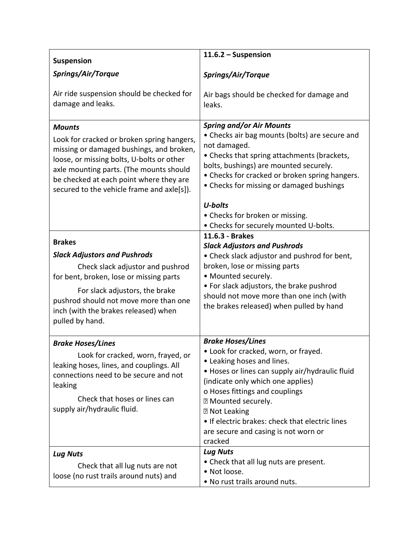| <b>Suspension</b>                                                                                                                                                                                                                                                                        | $11.6.2 -$ Suspension                                                                                                                                                                                                                                                                                                                                                                            |
|------------------------------------------------------------------------------------------------------------------------------------------------------------------------------------------------------------------------------------------------------------------------------------------|--------------------------------------------------------------------------------------------------------------------------------------------------------------------------------------------------------------------------------------------------------------------------------------------------------------------------------------------------------------------------------------------------|
| Springs/Air/Torque                                                                                                                                                                                                                                                                       | Springs/Air/Torque                                                                                                                                                                                                                                                                                                                                                                               |
| Air ride suspension should be checked for<br>damage and leaks.                                                                                                                                                                                                                           | Air bags should be checked for damage and<br>leaks.                                                                                                                                                                                                                                                                                                                                              |
| <b>Mounts</b><br>Look for cracked or broken spring hangers,<br>missing or damaged bushings, and broken,<br>loose, or missing bolts, U-bolts or other<br>axle mounting parts. (The mounts should<br>be checked at each point where they are<br>secured to the vehicle frame and axle[s]). | <b>Spring and/or Air Mounts</b><br>• Checks air bag mounts (bolts) are secure and<br>not damaged.<br>• Checks that spring attachments (brackets,<br>bolts, bushings) are mounted securely.<br>• Checks for cracked or broken spring hangers.<br>• Checks for missing or damaged bushings<br>U-bolts                                                                                              |
|                                                                                                                                                                                                                                                                                          | • Checks for broken or missing.<br>• Checks for securely mounted U-bolts.                                                                                                                                                                                                                                                                                                                        |
| <b>Brakes</b><br><b>Slack Adjustors and Pushrods</b><br>Check slack adjustor and pushrod<br>for bent, broken, lose or missing parts<br>For slack adjustors, the brake<br>pushrod should not move more than one<br>inch (with the brakes released) when<br>pulled by hand.                | 11.6.3 - Brakes<br><b>Slack Adjustors and Pushrods</b><br>• Check slack adjustor and pushrod for bent,<br>broken, lose or missing parts<br>• Mounted securely.<br>• For slack adjustors, the brake pushrod<br>should not move more than one inch (with<br>the brakes released) when pulled by hand                                                                                               |
| <b>Brake Hoses/Lines</b><br>Look for cracked, worn, frayed, or<br>leaking hoses, lines, and couplings. All<br>connections need to be secure and not<br>leaking<br>Check that hoses or lines can<br>supply air/hydraulic fluid.<br><b>Lug Nuts</b>                                        | <b>Brake Hoses/Lines</b><br>. Look for cracked, worn, or frayed.<br>• Leaking hoses and lines.<br>• Hoses or lines can supply air/hydraulic fluid<br>(indicate only which one applies)<br>o Hoses fittings and couplings<br>7 Mounted securely.<br><b>2 Not Leaking</b><br>. If electric brakes: check that electric lines<br>are secure and casing is not worn or<br>cracked<br><b>Lug Nuts</b> |
| Check that all lug nuts are not<br>loose (no rust trails around nuts) and                                                                                                                                                                                                                | • Check that all lug nuts are present.<br>• Not loose.<br>. No rust trails around nuts.                                                                                                                                                                                                                                                                                                          |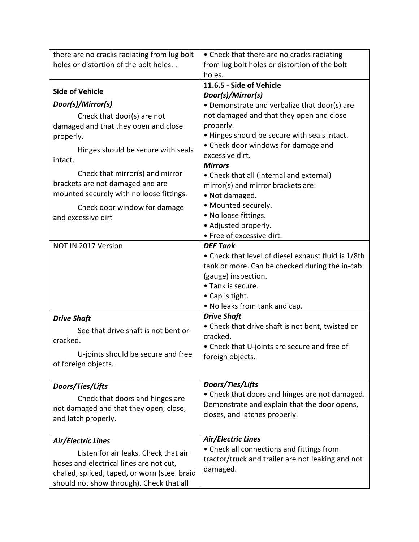| there are no cracks radiating from lug bolt                                     | • Check that there are no cracks radiating                                                     |
|---------------------------------------------------------------------------------|------------------------------------------------------------------------------------------------|
| holes or distortion of the bolt holes                                           | from lug bolt holes or distortion of the bolt                                                  |
|                                                                                 | holes.<br>11.6.5 - Side of Vehicle                                                             |
| <b>Side of Vehicle</b>                                                          | Door(s)/Mirror(s)                                                                              |
| Door(s)/Mirror(s)                                                               | • Demonstrate and verbalize that door(s) are                                                   |
| Check that door(s) are not                                                      | not damaged and that they open and close                                                       |
| damaged and that they open and close                                            | properly.                                                                                      |
| properly.                                                                       | . Hinges should be secure with seals intact.                                                   |
| Hinges should be secure with seals                                              | • Check door windows for damage and                                                            |
| intact.                                                                         | excessive dirt.<br><b>Mirrors</b>                                                              |
| Check that mirror(s) and mirror                                                 | • Check that all (internal and external)                                                       |
| brackets are not damaged and are                                                | mirror(s) and mirror brackets are:                                                             |
| mounted securely with no loose fittings.                                        | • Not damaged.                                                                                 |
| Check door window for damage                                                    | • Mounted securely.                                                                            |
| and excessive dirt                                                              | • No loose fittings.                                                                           |
|                                                                                 | • Adjusted properly.                                                                           |
|                                                                                 | • Free of excessive dirt.                                                                      |
| NOT IN 2017 Version                                                             | <b>DEF Tank</b><br>• Check that level of diesel exhaust fluid is 1/8th                         |
|                                                                                 | tank or more. Can be checked during the in-cab                                                 |
|                                                                                 | (gauge) inspection.                                                                            |
|                                                                                 | • Tank is secure.                                                                              |
|                                                                                 | • Cap is tight.                                                                                |
|                                                                                 | • No leaks from tank and cap.                                                                  |
| <b>Drive Shaft</b>                                                              | <b>Drive Shaft</b>                                                                             |
| See that drive shaft is not bent or                                             | • Check that drive shaft is not bent, twisted or                                               |
| cracked.                                                                        | cracked.<br>• Check that U-joints are secure and free of                                       |
| U-joints should be secure and free                                              | foreign objects.                                                                               |
| of foreign objects.                                                             |                                                                                                |
|                                                                                 |                                                                                                |
| Doors/Ties/Lifts                                                                | Doors/Ties/Lifts                                                                               |
| Check that doors and hinges are                                                 | • Check that doors and hinges are not damaged.<br>Demonstrate and explain that the door opens, |
| not damaged and that they open, close,                                          | closes, and latches properly.                                                                  |
| and latch properly.                                                             |                                                                                                |
|                                                                                 | Air/Electric Lines                                                                             |
| Air/Electric Lines                                                              | • Check all connections and fittings from                                                      |
| Listen for air leaks. Check that air<br>hoses and electrical lines are not cut, | tractor/truck and trailer are not leaking and not                                              |
| chafed, spliced, taped, or worn (steel braid                                    | damaged.                                                                                       |
| should not show through). Check that all                                        |                                                                                                |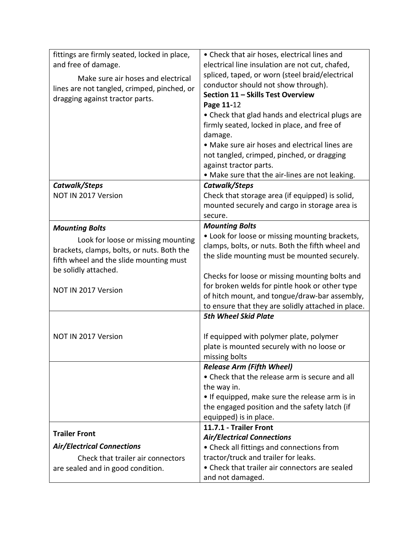| fittings are firmly seated, locked in place,<br>and free of damage.<br>Make sure air hoses and electrical<br>lines are not tangled, crimped, pinched, or<br>dragging against tractor parts.         | • Check that air hoses, electrical lines and<br>electrical line insulation are not cut, chafed,<br>spliced, taped, or worn (steel braid/electrical<br>conductor should not show through).<br>Section 11 - Skills Test Overview<br>Page 11-12<br>• Check that glad hands and electrical plugs are<br>firmly seated, locked in place, and free of<br>damage.<br>• Make sure air hoses and electrical lines are<br>not tangled, crimped, pinched, or dragging<br>against tractor parts.<br>. Make sure that the air-lines are not leaking. |
|-----------------------------------------------------------------------------------------------------------------------------------------------------------------------------------------------------|-----------------------------------------------------------------------------------------------------------------------------------------------------------------------------------------------------------------------------------------------------------------------------------------------------------------------------------------------------------------------------------------------------------------------------------------------------------------------------------------------------------------------------------------|
| Catwalk/Steps<br>NOT IN 2017 Version                                                                                                                                                                | Catwalk/Steps<br>Check that storage area (if equipped) is solid,<br>mounted securely and cargo in storage area is<br>secure.                                                                                                                                                                                                                                                                                                                                                                                                            |
| <b>Mounting Bolts</b><br>Look for loose or missing mounting<br>brackets, clamps, bolts, or nuts. Both the<br>fifth wheel and the slide mounting must<br>be solidly attached.<br>NOT IN 2017 Version | <b>Mounting Bolts</b><br>• Look for loose or missing mounting brackets,<br>clamps, bolts, or nuts. Both the fifth wheel and<br>the slide mounting must be mounted securely.<br>Checks for loose or missing mounting bolts and<br>for broken welds for pintle hook or other type<br>of hitch mount, and tongue/draw-bar assembly,<br>to ensure that they are solidly attached in place.<br><b>5th Wheel Skid Plate</b>                                                                                                                   |
| NOT IN 2017 Version                                                                                                                                                                                 | If equipped with polymer plate, polymer<br>plate is mounted securely with no loose or<br>missing bolts                                                                                                                                                                                                                                                                                                                                                                                                                                  |
|                                                                                                                                                                                                     | <b>Release Arm (Fifth Wheel)</b><br>• Check that the release arm is secure and all<br>the way in.<br>• If equipped, make sure the release arm is in<br>the engaged position and the safety latch (if<br>equipped) is in place.                                                                                                                                                                                                                                                                                                          |
| <b>Trailer Front</b><br><b>Air/Electrical Connections</b><br>Check that trailer air connectors<br>are sealed and in good condition.                                                                 | 11.7.1 - Trailer Front<br><b>Air/Electrical Connections</b><br>• Check all fittings and connections from<br>tractor/truck and trailer for leaks.<br>• Check that trailer air connectors are sealed<br>and not damaged.                                                                                                                                                                                                                                                                                                                  |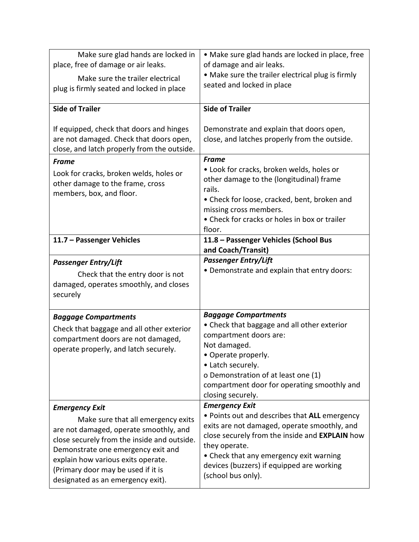| Make sure glad hands are locked in<br>place, free of damage or air leaks.<br>Make sure the trailer electrical<br>plug is firmly seated and locked in place                                                                                                                                                  | · Make sure glad hands are locked in place, free<br>of damage and air leaks.<br>• Make sure the trailer electrical plug is firmly<br>seated and locked in place                                                                                                                                         |
|-------------------------------------------------------------------------------------------------------------------------------------------------------------------------------------------------------------------------------------------------------------------------------------------------------------|---------------------------------------------------------------------------------------------------------------------------------------------------------------------------------------------------------------------------------------------------------------------------------------------------------|
| <b>Side of Trailer</b>                                                                                                                                                                                                                                                                                      | <b>Side of Trailer</b>                                                                                                                                                                                                                                                                                  |
| If equipped, check that doors and hinges<br>are not damaged. Check that doors open,<br>close, and latch properly from the outside.                                                                                                                                                                          | Demonstrate and explain that doors open,<br>close, and latches properly from the outside.                                                                                                                                                                                                               |
| <b>Frame</b><br>Look for cracks, broken welds, holes or<br>other damage to the frame, cross<br>members, box, and floor.                                                                                                                                                                                     | <b>Frame</b><br>• Look for cracks, broken welds, holes or<br>other damage to the (longitudinal) frame<br>rails.<br>• Check for loose, cracked, bent, broken and<br>missing cross members.<br>• Check for cracks or holes in box or trailer<br>floor.                                                    |
| 11.7 - Passenger Vehicles                                                                                                                                                                                                                                                                                   | 11.8 - Passenger Vehicles (School Bus<br>and Coach/Transit)                                                                                                                                                                                                                                             |
| <b>Passenger Entry/Lift</b><br>Check that the entry door is not<br>damaged, operates smoothly, and closes<br>securely                                                                                                                                                                                       | <b>Passenger Entry/Lift</b><br>• Demonstrate and explain that entry doors:                                                                                                                                                                                                                              |
| <b>Baggage Compartments</b><br>Check that baggage and all other exterior<br>compartment doors are not damaged,<br>operate properly, and latch securely.                                                                                                                                                     | <b>Baggage Compartments</b><br>• Check that baggage and all other exterior<br>compartment doors are:<br>Not damaged.<br>• Operate properly.<br>• Latch securely.<br>o Demonstration of at least one (1)<br>compartment door for operating smoothly and<br>closing securely.                             |
| <b>Emergency Exit</b><br>Make sure that all emergency exits<br>are not damaged, operate smoothly, and<br>close securely from the inside and outside.<br>Demonstrate one emergency exit and<br>explain how various exits operate.<br>(Primary door may be used if it is<br>designated as an emergency exit). | <b>Emergency Exit</b><br>. Points out and describes that ALL emergency<br>exits are not damaged, operate smoothly, and<br>close securely from the inside and EXPLAIN how<br>they operate.<br>• Check that any emergency exit warning<br>devices (buzzers) if equipped are working<br>(school bus only). |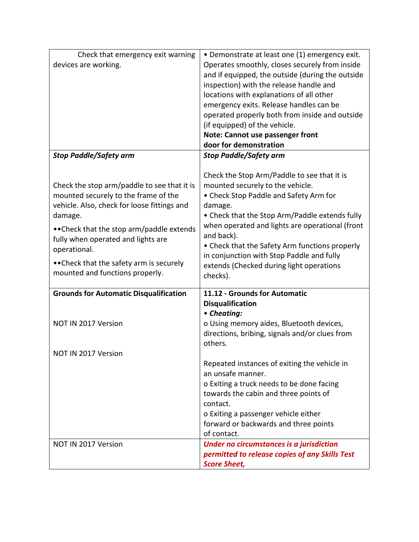| Check that emergency exit warning                                          | • Demonstrate at least one (1) emergency exit.   |
|----------------------------------------------------------------------------|--------------------------------------------------|
| devices are working.                                                       | Operates smoothly, closes securely from inside   |
|                                                                            | and if equipped, the outside (during the outside |
|                                                                            | inspection) with the release handle and          |
|                                                                            | locations with explanations of all other         |
|                                                                            | emergency exits. Release handles can be          |
|                                                                            | operated properly both from inside and outside   |
|                                                                            | (if equipped) of the vehicle.                    |
|                                                                            | Note: Cannot use passenger front                 |
|                                                                            | door for demonstration                           |
| <b>Stop Paddle/Safety arm</b>                                              | <b>Stop Paddle/Safety arm</b>                    |
|                                                                            |                                                  |
|                                                                            | Check the Stop Arm/Paddle to see that it is      |
| Check the stop arm/paddle to see that it is                                | mounted securely to the vehicle.                 |
| mounted securely to the frame of the                                       | • Check Stop Paddle and Safety Arm for           |
| vehicle. Also, check for loose fittings and                                | damage.                                          |
| damage.                                                                    | • Check that the Stop Arm/Paddle extends fully   |
| •• Check that the stop arm/paddle extends                                  | when operated and lights are operational (front  |
| fully when operated and lights are                                         | and back).                                       |
| operational.                                                               | • Check that the Safety Arm functions properly   |
|                                                                            | in conjunction with Stop Paddle and fully        |
| • Check that the safety arm is securely<br>mounted and functions properly. | extends (Checked during light operations         |
|                                                                            | checks).                                         |
| <b>Grounds for Automatic Disqualification</b>                              | 11.12 - Grounds for Automatic                    |
|                                                                            | <b>Disqualification</b>                          |
|                                                                            | • Cheating:                                      |
| NOT IN 2017 Version                                                        | o Using memory aides, Bluetooth devices,         |
|                                                                            | directions, bribing, signals and/or clues from   |
|                                                                            | others.                                          |
| NOT IN 2017 Version                                                        |                                                  |
|                                                                            | Repeated instances of exiting the vehicle in     |
|                                                                            | an unsafe manner.                                |
|                                                                            | o Exiting a truck needs to be done facing        |
|                                                                            | towards the cabin and three points of            |
|                                                                            | contact.                                         |
|                                                                            | o Exiting a passenger vehicle either             |
|                                                                            | forward or backwards and three points            |
|                                                                            | of contact.                                      |
| NOT IN 2017 Version                                                        | Under no circumstances is a jurisdiction         |
|                                                                            | permitted to release copies of any Skills Test   |
|                                                                            | <b>Score Sheet,</b>                              |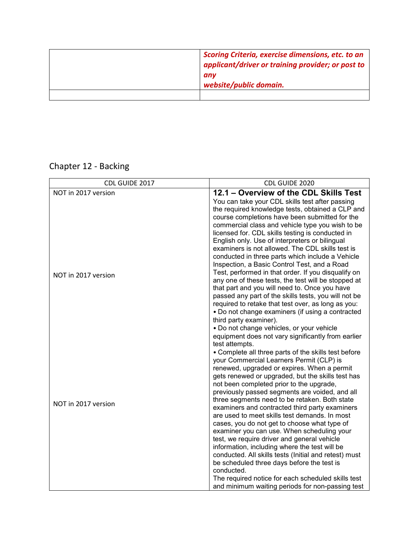| Scoring Criteria, exercise dimensions, etc. to an<br>applicant/driver or training provider; or post to<br>any<br>website/public domain. |
|-----------------------------------------------------------------------------------------------------------------------------------------|
|                                                                                                                                         |

# Chapter 12 - Backing

| CDL GUIDE 2017      | CDL GUIDE 2020                                                                                                                                                                                                                                                                                                                                                                                                                                                                                                                                                                                                                                                                                                                                                                                                                                                                                                                                                                                           |
|---------------------|----------------------------------------------------------------------------------------------------------------------------------------------------------------------------------------------------------------------------------------------------------------------------------------------------------------------------------------------------------------------------------------------------------------------------------------------------------------------------------------------------------------------------------------------------------------------------------------------------------------------------------------------------------------------------------------------------------------------------------------------------------------------------------------------------------------------------------------------------------------------------------------------------------------------------------------------------------------------------------------------------------|
| NOT in 2017 version | 12.1 - Overview of the CDL Skills Test                                                                                                                                                                                                                                                                                                                                                                                                                                                                                                                                                                                                                                                                                                                                                                                                                                                                                                                                                                   |
| NOT in 2017 version | You can take your CDL skills test after passing<br>the required knowledge tests, obtained a CLP and<br>course completions have been submitted for the<br>commercial class and vehicle type you wish to be<br>licensed for. CDL skills testing is conducted in<br>English only. Use of interpreters or bilingual<br>examiners is not allowed. The CDL skills test is<br>conducted in three parts which include a Vehicle<br>Inspection, a Basic Control Test, and a Road<br>Test, performed in that order. If you disqualify on<br>any one of these tests, the test will be stopped at<br>that part and you will need to. Once you have<br>passed any part of the skills tests, you will not be<br>required to retake that test over, as long as you:<br>• Do not change examiners (if using a contracted<br>third party examiner).                                                                                                                                                                       |
| NOT in 2017 version | • Do not change vehicles, or your vehicle<br>equipment does not vary significantly from earlier<br>test attempts.<br>• Complete all three parts of the skills test before<br>your Commercial Learners Permit (CLP) is<br>renewed, upgraded or expires. When a permit<br>gets renewed or upgraded, but the skills test has<br>not been completed prior to the upgrade,<br>previously passed segments are voided, and all<br>three segments need to be retaken. Both state<br>examiners and contracted third party examiners<br>are used to meet skills test demands. In most<br>cases, you do not get to choose what type of<br>examiner you can use. When scheduling your<br>test, we require driver and general vehicle<br>information, including where the test will be<br>conducted. All skills tests (Initial and retest) must<br>be scheduled three days before the test is<br>conducted.<br>The required notice for each scheduled skills test<br>and minimum waiting periods for non-passing test |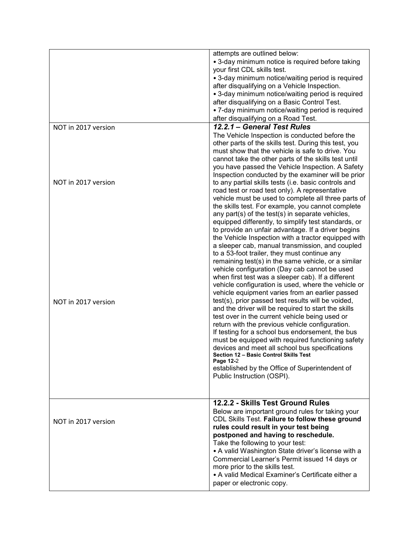|                     | attempts are outlined below:<br>• 3-day minimum notice is required before taking<br>your first CDL skills test.<br>• 3-day minimum notice/waiting period is required<br>after disqualifying on a Vehicle Inspection.<br>• 3-day minimum notice/waiting period is required<br>after disqualifying on a Basic Control Test.<br>• 7-day minimum notice/waiting period is required<br>after disqualifying on a Road Test.                                                                                                                                                                                                                                                                                                                                                                                                  |
|---------------------|------------------------------------------------------------------------------------------------------------------------------------------------------------------------------------------------------------------------------------------------------------------------------------------------------------------------------------------------------------------------------------------------------------------------------------------------------------------------------------------------------------------------------------------------------------------------------------------------------------------------------------------------------------------------------------------------------------------------------------------------------------------------------------------------------------------------|
| NOT in 2017 version | 12.2.1 - General Test Rules                                                                                                                                                                                                                                                                                                                                                                                                                                                                                                                                                                                                                                                                                                                                                                                            |
|                     | The Vehicle Inspection is conducted before the<br>other parts of the skills test. During this test, you<br>must show that the vehicle is safe to drive. You<br>cannot take the other parts of the skills test until<br>you have passed the Vehicle Inspection. A Safety<br>Inspection conducted by the examiner will be prior                                                                                                                                                                                                                                                                                                                                                                                                                                                                                          |
| NOT in 2017 version | to any partial skills tests (i.e. basic controls and<br>road test or road test only). A representative<br>vehicle must be used to complete all three parts of<br>the skills test. For example, you cannot complete<br>any part(s) of the test(s) in separate vehicles,<br>equipped differently, to simplify test standards, or<br>to provide an unfair advantage. If a driver begins<br>the Vehicle Inspection with a tractor equipped with<br>a sleeper cab, manual transmission, and coupled<br>to a 53-foot trailer, they must continue any<br>remaining test(s) in the same vehicle, or a similar<br>vehicle configuration (Day cab cannot be used<br>when first test was a sleeper cab). If a different<br>vehicle configuration is used, where the vehicle or<br>vehicle equipment varies from an earlier passed |
| NOT in 2017 version | test(s), prior passed test results will be voided,<br>and the driver will be required to start the skills<br>test over in the current vehicle being used or<br>return with the previous vehicle configuration.<br>If testing for a school bus endorsement, the bus<br>must be equipped with required functioning safety<br>devices and meet all school bus specifications<br>Section 12 - Basic Control Skills Test<br>Page 12-2<br>established by the Office of Superintendent of<br>Public Instruction (OSPI).                                                                                                                                                                                                                                                                                                       |
| NOT in 2017 version | 12.2.2 - Skills Test Ground Rules<br>Below are important ground rules for taking your<br>CDL Skills Test. Failure to follow these ground<br>rules could result in your test being<br>postponed and having to reschedule.<br>Take the following to your test:<br>• A valid Washington State driver's license with a<br>Commercial Learner's Permit issued 14 days or<br>more prior to the skills test.<br>• A valid Medical Examiner's Certificate either a<br>paper or electronic copy.                                                                                                                                                                                                                                                                                                                                |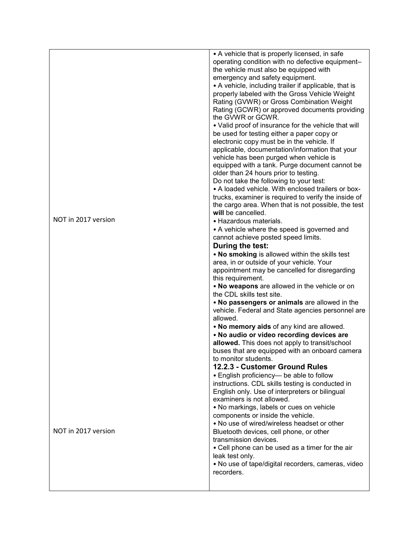|                     | • A vehicle that is properly licensed, in safe<br>operating condition with no defective equipment- |
|---------------------|----------------------------------------------------------------------------------------------------|
|                     | the vehicle must also be equipped with                                                             |
|                     | emergency and safety equipment.                                                                    |
|                     | • A vehicle, including trailer if applicable, that is                                              |
|                     | properly labeled with the Gross Vehicle Weight                                                     |
|                     | Rating (GVWR) or Gross Combination Weight                                                          |
|                     | Rating (GCWR) or approved documents providing<br>the GVWR or GCWR.                                 |
|                     | • Valid proof of insurance for the vehicle that will                                               |
|                     | be used for testing either a paper copy or                                                         |
|                     | electronic copy must be in the vehicle. If<br>applicable, documentation/information that your      |
|                     | vehicle has been purged when vehicle is                                                            |
|                     | equipped with a tank. Purge document cannot be                                                     |
|                     | older than 24 hours prior to testing.                                                              |
|                     | Do not take the following to your test:                                                            |
|                     | • A loaded vehicle. With enclosed trailers or box-                                                 |
|                     | trucks, examiner is required to verify the inside of                                               |
|                     | the cargo area. When that is not possible, the test<br>will be cancelled.                          |
| NOT in 2017 version | • Hazardous materials.                                                                             |
|                     | • A vehicle where the speed is governed and                                                        |
|                     | cannot achieve posted speed limits.                                                                |
|                     | During the test:                                                                                   |
|                     | . No smoking is allowed within the skills test                                                     |
|                     | area, in or outside of your vehicle. Your                                                          |
|                     | appointment may be cancelled for disregarding<br>this requirement.                                 |
|                     | . No weapons are allowed in the vehicle or on                                                      |
|                     | the CDL skills test site.                                                                          |
|                     | . No passengers or animals are allowed in the                                                      |
|                     | vehicle. Federal and State agencies personnel are                                                  |
|                     | allowed.                                                                                           |
|                     | . No memory aids of any kind are allowed.<br>. No audio or video recording devices are             |
|                     | allowed. This does not apply to transit/school                                                     |
|                     | buses that are equipped with an onboard camera                                                     |
|                     | to monitor students.                                                                               |
|                     | 12.2.3 - Customer Ground Rules                                                                     |
|                     | • English proficiency- be able to follow                                                           |
|                     | instructions. CDL skills testing is conducted in                                                   |
|                     | English only. Use of interpreters or bilingual<br>examiners is not allowed.                        |
|                     | • No markings, labels or cues on vehicle                                                           |
|                     | components or inside the vehicle.                                                                  |
|                     | • No use of wired/wireless headset or other                                                        |
| NOT in 2017 version | Bluetooth devices, cell phone, or other                                                            |
|                     | transmission devices.                                                                              |
|                     | • Cell phone can be used as a timer for the air<br>leak test only.                                 |
|                     | . No use of tape/digital recorders, cameras, video                                                 |
|                     | recorders.                                                                                         |
|                     |                                                                                                    |
|                     |                                                                                                    |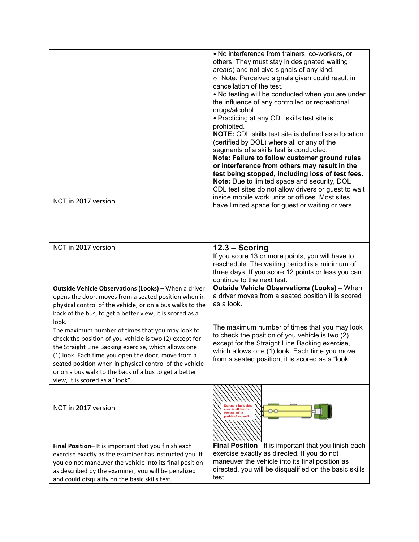| NOT in 2017 version                                                                                                                                                                                                                                                                                                                                                                       | . No interference from trainers, co-workers, or<br>others. They must stay in designated waiting<br>area(s) and not give signals of any kind.<br>o Note: Perceived signals given could result in<br>cancellation of the test.<br>. No testing will be conducted when you are under<br>the influence of any controlled or recreational<br>drugs/alcohol.<br>• Practicing at any CDL skills test site is<br>prohibited.<br><b>NOTE:</b> CDL skills test site is defined as a location<br>(certified by DOL) where all or any of the<br>segments of a skills test is conducted.<br>Note: Failure to follow customer ground rules<br>or interference from others may result in the<br>test being stopped, including loss of test fees.<br>Note: Due to limited space and security, DOL<br>CDL test sites do not allow drivers or guest to wait<br>inside mobile work units or offices. Most sites<br>have limited space for guest or waiting drivers. |
|-------------------------------------------------------------------------------------------------------------------------------------------------------------------------------------------------------------------------------------------------------------------------------------------------------------------------------------------------------------------------------------------|--------------------------------------------------------------------------------------------------------------------------------------------------------------------------------------------------------------------------------------------------------------------------------------------------------------------------------------------------------------------------------------------------------------------------------------------------------------------------------------------------------------------------------------------------------------------------------------------------------------------------------------------------------------------------------------------------------------------------------------------------------------------------------------------------------------------------------------------------------------------------------------------------------------------------------------------------|
| NOT in 2017 version                                                                                                                                                                                                                                                                                                                                                                       | $12.3 -$ Scoring<br>If you score 13 or more points, you will have to<br>reschedule. The waiting period is a minimum of<br>three days. If you score 12 points or less you can<br>continue to the next test.                                                                                                                                                                                                                                                                                                                                                                                                                                                                                                                                                                                                                                                                                                                                       |
| Outside Vehicle Observations (Looks) - When a driver<br>opens the door, moves from a seated position when in<br>physical control of the vehicle, or on a bus walks to the<br>back of the bus, to get a better view, it is scored as a                                                                                                                                                     | <b>Outside Vehicle Observations (Looks)</b> - When<br>a driver moves from a seated position it is scored<br>as a look.                                                                                                                                                                                                                                                                                                                                                                                                                                                                                                                                                                                                                                                                                                                                                                                                                           |
| look.<br>The maximum number of times that you may look to<br>check the position of you vehicle is two (2) except for<br>the Straight Line Backing exercise, which allows one<br>(1) look. Each time you open the door, move from a<br>seated position when in physical control of the vehicle<br>or on a bus walk to the back of a bus to get a better<br>view, it is scored as a "look". | The maximum number of times that you may look<br>to check the position of you vehicle is two (2)<br>except for the Straight Line Backing exercise,<br>which allows one (1) look. Each time you move<br>from a seated position, it is scored as a "look".                                                                                                                                                                                                                                                                                                                                                                                                                                                                                                                                                                                                                                                                                         |
| NOT in 2017 version                                                                                                                                                                                                                                                                                                                                                                       | area is off limits.<br><b>Pacing off is</b><br>prohited as well.                                                                                                                                                                                                                                                                                                                                                                                                                                                                                                                                                                                                                                                                                                                                                                                                                                                                                 |
| Final Position-It is important that you finish each<br>exercise exactly as the examiner has instructed you. If<br>you do not maneuver the vehicle into its final position<br>as described by the examiner, you will be penalized<br>and could disqualify on the basic skills test.                                                                                                        | Final Position- It is important that you finish each<br>exercise exactly as directed. If you do not<br>maneuver the vehicle into its final position as<br>directed, you will be disqualified on the basic skills<br>test                                                                                                                                                                                                                                                                                                                                                                                                                                                                                                                                                                                                                                                                                                                         |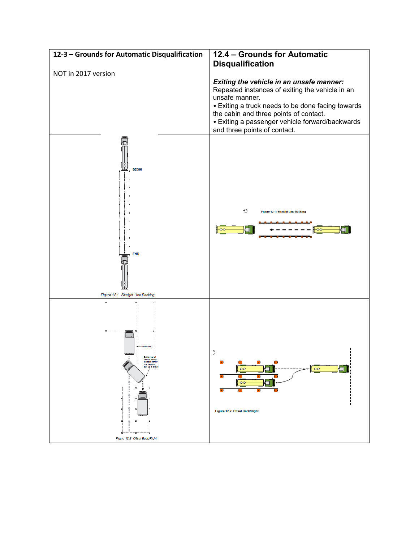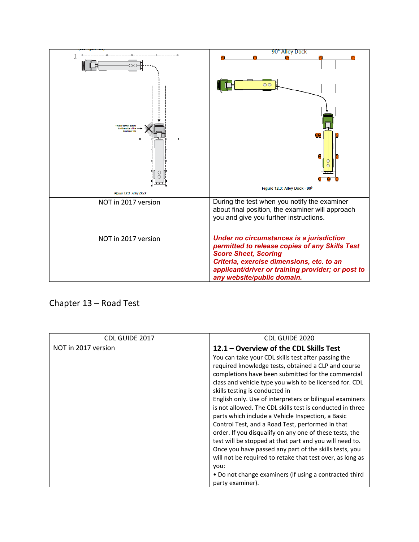

## Chapter 13 – Road Test

| CDL GUIDE 2017      | CDL GUIDE 2020                                            |
|---------------------|-----------------------------------------------------------|
| NOT in 2017 version | 12.1 – Overview of the CDL Skills Test                    |
|                     | You can take your CDL skills test after passing the       |
|                     | required knowledge tests, obtained a CLP and course       |
|                     | completions have been submitted for the commercial        |
|                     | class and vehicle type you wish to be licensed for. CDL   |
|                     | skills testing is conducted in                            |
|                     | English only. Use of interpreters or bilingual examiners  |
|                     | is not allowed. The CDL skills test is conducted in three |
|                     | parts which include a Vehicle Inspection, a Basic         |
|                     | Control Test, and a Road Test, performed in that          |
|                     | order. If you disqualify on any one of these tests, the   |
|                     | test will be stopped at that part and you will need to.   |
|                     | Once you have passed any part of the skills tests, you    |
|                     | will not be required to retake that test over, as long as |
|                     | vou:                                                      |
|                     | • Do not change examiners (if using a contracted third    |
|                     | party examiner).                                          |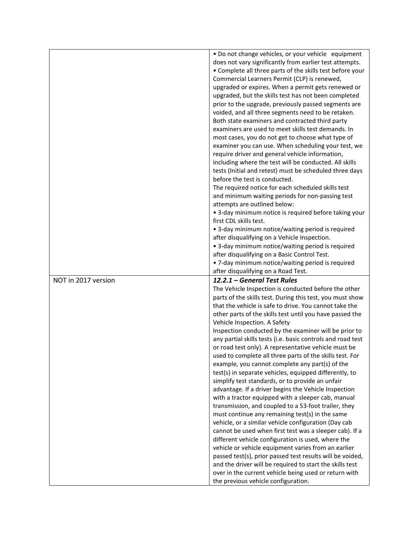|                     | . Do not change vehicles, or your vehicle equipment                                          |
|---------------------|----------------------------------------------------------------------------------------------|
|                     | does not vary significantly from earlier test attempts.                                      |
|                     | • Complete all three parts of the skills test before your                                    |
|                     | Commercial Learners Permit (CLP) is renewed,                                                 |
|                     | upgraded or expires. When a permit gets renewed or                                           |
|                     | upgraded, but the skills test has not been completed                                         |
|                     | prior to the upgrade, previously passed segments are                                         |
|                     | voided, and all three segments need to be retaken.                                           |
|                     | Both state examiners and contracted third party                                              |
|                     | examiners are used to meet skills test demands. In                                           |
|                     | most cases, you do not get to choose what type of                                            |
|                     | examiner you can use. When scheduling your test, we                                          |
|                     | require driver and general vehicle information,                                              |
|                     | including where the test will be conducted. All skills                                       |
|                     | tests (Initial and retest) must be scheduled three days                                      |
|                     | before the test is conducted.                                                                |
|                     | The required notice for each scheduled skills test                                           |
|                     | and minimum waiting periods for non-passing test                                             |
|                     | attempts are outlined below:                                                                 |
|                     | • 3-day minimum notice is required before taking your                                        |
|                     | first CDL skills test.                                                                       |
|                     | • 3-day minimum notice/waiting period is required                                            |
|                     | after disqualifying on a Vehicle Inspection.                                                 |
|                     | • 3-day minimum notice/waiting period is required                                            |
|                     | after disqualifying on a Basic Control Test.                                                 |
|                     | • 7-day minimum notice/waiting period is required                                            |
|                     | after disqualifying on a Road Test.                                                          |
|                     |                                                                                              |
| NOT in 2017 version | 12.2.1 - General Test Rules                                                                  |
|                     | The Vehicle Inspection is conducted before the other                                         |
|                     | parts of the skills test. During this test, you must show                                    |
|                     | that the vehicle is safe to drive. You cannot take the                                       |
|                     | other parts of the skills test until you have passed the                                     |
|                     | Vehicle Inspection. A Safety                                                                 |
|                     | Inspection conducted by the examiner will be prior to                                        |
|                     | any partial skills tests (i.e. basic controls and road test                                  |
|                     | or road test only). A representative vehicle must be                                         |
|                     | used to complete all three parts of the skills test. For                                     |
|                     | example, you cannot complete any part(s) of the                                              |
|                     | test(s) in separate vehicles, equipped differently, to                                       |
|                     | simplify test standards, or to provide an unfair                                             |
|                     | advantage. If a driver begins the Vehicle Inspection                                         |
|                     | with a tractor equipped with a sleeper cab, manual                                           |
|                     | transmission, and coupled to a 53-foot trailer, they                                         |
|                     | must continue any remaining test(s) in the same                                              |
|                     | vehicle, or a similar vehicle configuration (Day cab                                         |
|                     | cannot be used when first test was a sleeper cab). If a                                      |
|                     | different vehicle configuration is used, where the                                           |
|                     | vehicle or vehicle equipment varies from an earlier                                          |
|                     | passed test(s), prior passed test results will be voided,                                    |
|                     | and the driver will be required to start the skills test                                     |
|                     | over in the current vehicle being used or return with<br>the previous vehicle configuration. |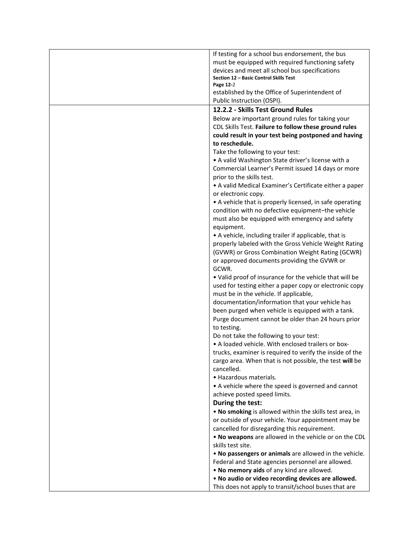| If testing for a school bus endorsement, the bus                                                     |
|------------------------------------------------------------------------------------------------------|
| must be equipped with required functioning safety                                                    |
| devices and meet all school bus specifications                                                       |
| Section 12 - Basic Control Skills Test<br>Page 12-2                                                  |
| established by the Office of Superintendent of                                                       |
| Public Instruction (OSPI).                                                                           |
| 12.2.2 - Skills Test Ground Rules                                                                    |
| Below are important ground rules for taking your                                                     |
| CDL Skills Test. Failure to follow these ground rules                                                |
| could result in your test being postponed and having                                                 |
| to reschedule.                                                                                       |
| Take the following to your test:                                                                     |
| • A valid Washington State driver's license with a                                                   |
| Commercial Learner's Permit issued 14 days or more                                                   |
| prior to the skills test.                                                                            |
| • A valid Medical Examiner's Certificate either a paper                                              |
| or electronic copy.                                                                                  |
| • A vehicle that is properly licensed, in safe operating                                             |
| condition with no defective equipment-the vehicle<br>must also be equipped with emergency and safety |
| equipment.                                                                                           |
| • A vehicle, including trailer if applicable, that is                                                |
| properly labeled with the Gross Vehicle Weight Rating                                                |
| (GVWR) or Gross Combination Weight Rating (GCWR)                                                     |
| or approved documents providing the GVWR or                                                          |
| GCWR.                                                                                                |
| . Valid proof of insurance for the vehicle that will be                                              |
| used for testing either a paper copy or electronic copy                                              |
| must be in the vehicle. If applicable,                                                               |
| documentation/information that your vehicle has                                                      |
| been purged when vehicle is equipped with a tank.                                                    |
| Purge document cannot be older than 24 hours prior                                                   |
| to testing.                                                                                          |
| Do not take the following to your test:                                                              |
| • A loaded vehicle. With enclosed trailers or box-                                                   |
| trucks, examiner is required to verify the inside of the                                             |
| cargo area. When that is not possible, the test will be<br>cancelled.                                |
| • Hazardous materials.                                                                               |
| • A vehicle where the speed is governed and cannot                                                   |
| achieve posted speed limits.                                                                         |
| During the test:                                                                                     |
| . No smoking is allowed within the skills test area, in                                              |
| or outside of your vehicle. Your appointment may be                                                  |
| cancelled for disregarding this requirement.                                                         |
| . No weapons are allowed in the vehicle or on the CDL                                                |
| skills test site.                                                                                    |
| . No passengers or animals are allowed in the vehicle.                                               |
| Federal and State agencies personnel are allowed.                                                    |
| . No memory aids of any kind are allowed.                                                            |
| . No audio or video recording devices are allowed.                                                   |
| This does not apply to transit/school buses that are                                                 |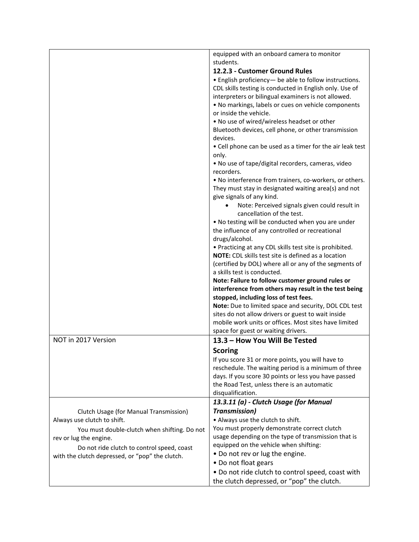| equipped with an onboard camera to monitor                                                   |  |
|----------------------------------------------------------------------------------------------|--|
| students.                                                                                    |  |
| 12.2.3 - Customer Ground Rules                                                               |  |
| • English proficiency- be able to follow instructions.                                       |  |
| CDL skills testing is conducted in English only. Use of                                      |  |
| interpreters or bilingual examiners is not allowed.                                          |  |
| . No markings, labels or cues on vehicle components                                          |  |
| or inside the vehicle.                                                                       |  |
| . No use of wired/wireless headset or other                                                  |  |
| Bluetooth devices, cell phone, or other transmission                                         |  |
| devices.                                                                                     |  |
| • Cell phone can be used as a timer for the air leak test                                    |  |
| only.                                                                                        |  |
| . No use of tape/digital recorders, cameras, video                                           |  |
| recorders.                                                                                   |  |
| . No interference from trainers, co-workers, or others.                                      |  |
| They must stay in designated waiting area(s) and not                                         |  |
| give signals of any kind.                                                                    |  |
| Note: Perceived signals given could result in<br>$\bullet$                                   |  |
| cancellation of the test.                                                                    |  |
| . No testing will be conducted when you are under                                            |  |
| the influence of any controlled or recreational                                              |  |
| drugs/alcohol.                                                                               |  |
| • Practicing at any CDL skills test site is prohibited.                                      |  |
| NOTE: CDL skills test site is defined as a location                                          |  |
| (certified by DOL) where all or any of the segments of                                       |  |
| a skills test is conducted.                                                                  |  |
| Note: Failure to follow customer ground rules or                                             |  |
| interference from others may result in the test being                                        |  |
| stopped, including loss of test fees.                                                        |  |
| Note: Due to limited space and security, DOL CDL test                                        |  |
| sites do not allow drivers or guest to wait inside                                           |  |
| mobile work units or offices. Most sites have limited                                        |  |
| space for guest or waiting drivers.                                                          |  |
| NOT in 2017 Version<br>13.3 - How You Will Be Tested                                         |  |
| <b>Scoring</b>                                                                               |  |
| If you score 31 or more points, you will have to                                             |  |
| reschedule. The waiting period is a minimum of three                                         |  |
| days. If you score 30 points or less you have passed                                         |  |
| the Road Test, unless there is an automatic                                                  |  |
| disqualification.                                                                            |  |
| 13.3.11 (a) - Clutch Usage (for Manual                                                       |  |
| <b>Transmission)</b><br>Clutch Usage (for Manual Transmission)                               |  |
| • Always use the clutch to shift.<br>Always use clutch to shift.                             |  |
| You must properly demonstrate correct clutch<br>You must double-clutch when shifting. Do not |  |
| usage depending on the type of transmission that is<br>rev or lug the engine.                |  |
| equipped on the vehicle when shifting:<br>Do not ride clutch to control speed, coast         |  |
| . Do not rev or lug the engine.                                                              |  |
|                                                                                              |  |
| with the clutch depressed, or "pop" the clutch.                                              |  |
| • Do not float gears<br>. Do not ride clutch to control speed, coast with                    |  |